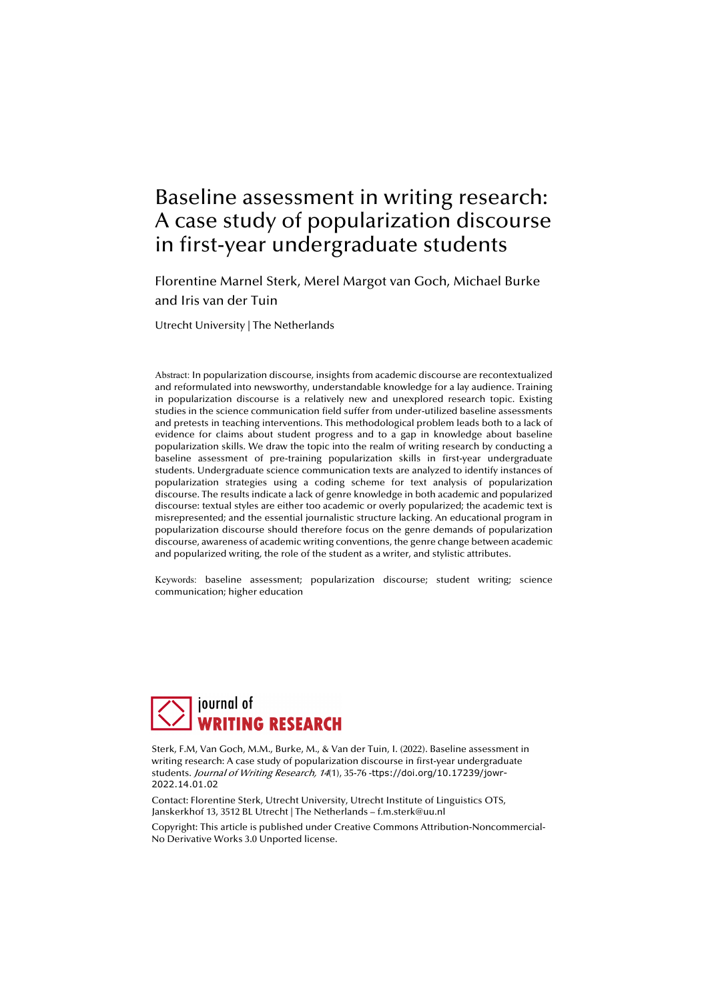# Baseline assessment in writing research: A case study of popularization discourse in first-year undergraduate students

Florentine Marnel Sterk, Merel Margot van Goch, Michael Burke and Iris van der Tuin

Utrecht University | The Netherlands

Abstract: In popularization discourse, insights from academic discourse are recontextualized and reformulated into newsworthy, understandable knowledge for a lay audience. Training in popularization discourse is a relatively new and unexplored research topic. Existing studies in the science communication field suffer from under-utilized baseline assessments and pretests in teaching interventions. This methodological problem leads both to a lack of evidence for claims about student progress and to a gap in knowledge about baseline popularization skills. We draw the topic into the realm of writing research by conducting a baseline assessment of pre-training popularization skills in first-year undergraduate students. Undergraduate science communication texts are analyzed to identify instances of popularization strategies using a coding scheme for text analysis of popularization discourse. The results indicate a lack of genre knowledge in both academic and popularized discourse: textual styles are either too academic or overly popularized; the academic text is misrepresented; and the essential journalistic structure lacking. An educational program in popularization discourse should therefore focus on the genre demands of popularization discourse, awareness of academic writing conventions, the genre change between academic and popularized writing, the role of the student as a writer, and stylistic attributes.

Keywords: baseline assessment; popularization discourse; student writing; science communication; higher education



Sterk, F.M, Van Goch, M.M., Burke, M., & Van der Tuin, I. (2022). Baseline assessment in writing research: A case study of popularization discourse in first-year undergraduate students. Journal of Writing Research, 14(1), 35-76 -ttps://doi.org/10.17239/jowr-2022.14.01.02

Contact: Florentine Sterk, Utrecht University, Utrecht Institute of Linguistics OTS, Janskerkhof 13, 3512 BL Utrecht | The Netherlands – f.m.sterk@uu.nl

Copyright: This article is published under Creative Commons Attribution-Noncommercial-No Derivative Works 3.0 Unported license.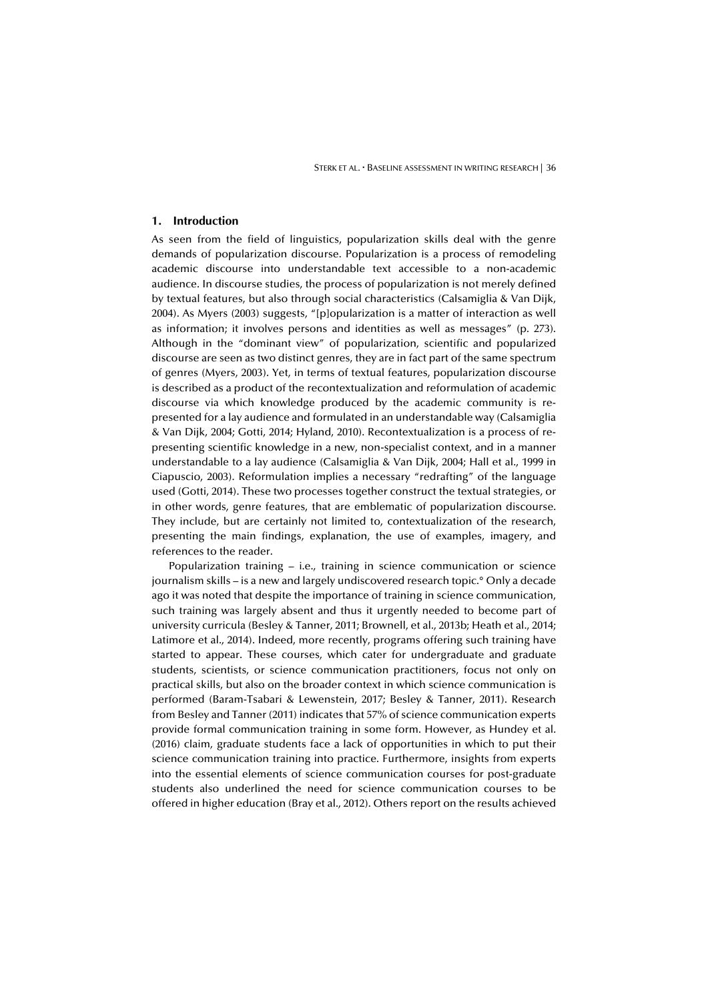## **1. Introduction**

As seen from the field of linguistics, popularization skills deal with the genre demands of popularization discourse. Popularization is a process of remodeling academic discourse into understandable text accessible to a non-academic audience. In discourse studies, the process of popularization is not merely defined by textual features, but also through social characteristics (Calsamiglia & Van Dijk, 2004). As Myers (2003) suggests, "[p]opularization is a matter of interaction as well as information; it involves persons and identities as well as messages" (p. 273). Although in the "dominant view" of popularization, scientific and popularized discourse are seen as two distinct genres, they are in fact part of the same spectrum of genres (Myers, 2003). Yet, in terms of textual features, popularization discourse is described as a product of the recontextualization and reformulation of academic discourse via which knowledge produced by the academic community is represented for a lay audience and formulated in an understandable way (Calsamiglia & Van Dijk, 2004; Gotti, 2014; Hyland, 2010). Recontextualization is a process of representing scientific knowledge in a new, non-specialist context, and in a manner understandable to a lay audience (Calsamiglia & Van Dijk, 2004; Hall et al., 1999 in Ciapuscio, 2003). Reformulation implies a necessary "redrafting" of the language used (Gotti, 2014). These two processes together construct the textual strategies, or in other words, genre features, that are emblematic of popularization discourse. They include, but are certainly not limited to, contextualization of the research, presenting the main findings, explanation, the use of examples, imagery, and references to the reader.

Popularization training – i.e., training in science communication or science journalism skills – is a new and largely undiscovered research topic.° Only a decade ago it was noted that despite the importance of training in science communication, such training was largely absent and thus it urgently needed to become part of university curricula (Besley & Tanner, 2011; Brownell, et al., 2013b; Heath et al., 2014; Latimore et al., 2014). Indeed, more recently, programs offering such training have started to appear. These courses, which cater for undergraduate and graduate students, scientists, or science communication practitioners, focus not only on practical skills, but also on the broader context in which science communication is performed (Baram-Tsabari & Lewenstein, 2017; Besley & Tanner, 2011). Research from Besley and Tanner (2011) indicates that 57% of science communication experts provide formal communication training in some form. However, as Hundey et al. (2016) claim, graduate students face a lack of opportunities in which to put their science communication training into practice. Furthermore, insights from experts into the essential elements of science communication courses for post-graduate students also underlined the need for science communication courses to be offered in higher education (Bray et al., 2012). Others report on the results achieved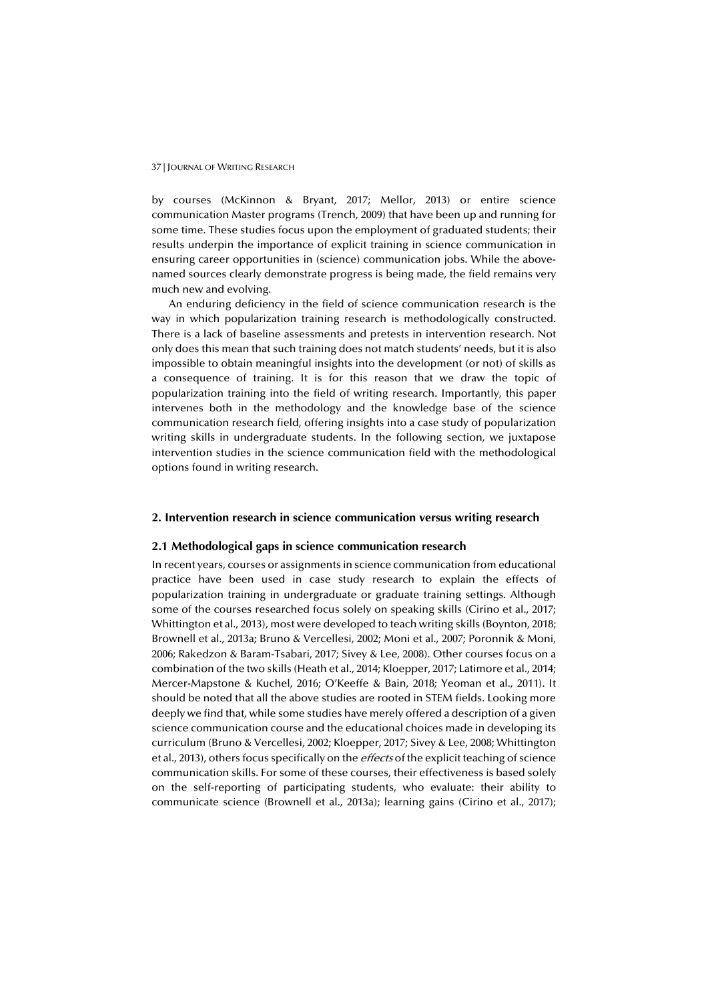by courses (McKinnon & Bryant, 2017; Mellor, 2013) or entire science communication Master programs (Trench, 2009) that have been up and running for some time. These studies focus upon the employment of graduated students; their results underpin the importance of explicit training in science communication in ensuring career opportunities in (science) communication jobs. While the abovenamed sources clearly demonstrate progress is being made, the field remains very much new and evolving.

An enduring deficiency in the field of science communication research is the way in which popularization training research is methodologically constructed. There is a lack of baseline assessments and pretests in intervention research. Not only does this mean that such training does not match students' needs, but it is also impossible to obtain meaningful insights into the development (or not) of skills as a consequence of training. It is for this reason that we draw the topic of popularization training into the field of writing research. Importantly, this paper intervenes both in the methodology and the knowledge base of the science communication research field, offering insights into a case study of popularization writing skills in undergraduate students. In the following section, we juxtapose intervention studies in the science communication field with the methodological options found in writing research.

# **2. Intervention research in science communication versus writing research**

#### **2.1 Methodological gaps in science communication research**

In recent years, courses or assignments in science communication from educational practice have been used in case study research to explain the effects of popularization training in undergraduate or graduate training settings. Although some of the courses researched focus solely on speaking skills (Cirino et al., 2017; Whittington et al., 2013), most were developed to teach writing skills (Boynton, 2018; Brownell et al., 2013a; Bruno & Vercellesi, 2002; Moni et al., 2007; Poronnik & Moni, 2006; Rakedzon & Baram-Tsabari, 2017; Sivey & Lee, 2008). Other courses focus on a combination of the two skills (Heath et al., 2014; Kloepper, 2017; Latimore et al., 2014; Mercer-Mapstone & Kuchel, 2016; O'Keeffe & Bain, 2018; Yeoman et al., 2011). It should be noted that all the above studies are rooted in STEM fields. Looking more deeply we find that, while some studies have merely offered a description of a given science communication course and the educational choices made in developing its curriculum (Bruno & Vercellesi, 2002; Kloepper, 2017; Sivey & Lee, 2008; Whittington et al., 2013), others focus specifically on the *effects* of the explicit teaching of science communication skills. For some of these courses, their effectiveness is based solely on the self-reporting of participating students, who evaluate: their ability to communicate science (Brownell et al., 2013a); learning gains (Cirino et al., 2017);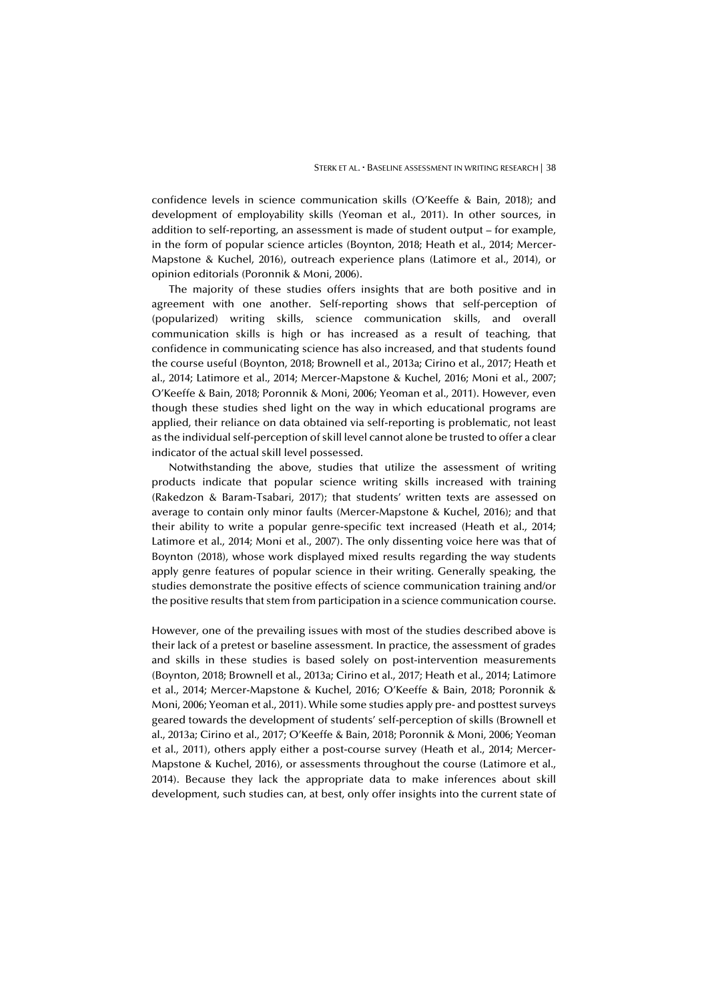confidence levels in science communication skills (O'Keeffe & Bain, 2018); and development of employability skills (Yeoman et al., 2011). In other sources, in addition to self-reporting, an assessment is made of student output – for example, in the form of popular science articles (Boynton, 2018; Heath et al., 2014; Mercer-Mapstone & Kuchel, 2016), outreach experience plans (Latimore et al., 2014), or opinion editorials (Poronnik & Moni, 2006).

The majority of these studies offers insights that are both positive and in agreement with one another. Self-reporting shows that self-perception of (popularized) writing skills, science communication skills, and overall communication skills is high or has increased as a result of teaching, that confidence in communicating science has also increased, and that students found the course useful (Boynton, 2018; Brownell et al., 2013a; Cirino et al., 2017; Heath et al., 2014; Latimore et al., 2014; Mercer-Mapstone & Kuchel, 2016; Moni et al., 2007; O'Keeffe & Bain, 2018; Poronnik & Moni, 2006; Yeoman et al., 2011). However, even though these studies shed light on the way in which educational programs are applied, their reliance on data obtained via self-reporting is problematic, not least as the individual self-perception of skill level cannot alone be trusted to offer a clear indicator of the actual skill level possessed.

Notwithstanding the above, studies that utilize the assessment of writing products indicate that popular science writing skills increased with training (Rakedzon & Baram-Tsabari, 2017); that students' written texts are assessed on average to contain only minor faults (Mercer-Mapstone & Kuchel, 2016); and that their ability to write a popular genre-specific text increased (Heath et al., 2014; Latimore et al., 2014; Moni et al., 2007). The only dissenting voice here was that of Boynton (2018), whose work displayed mixed results regarding the way students apply genre features of popular science in their writing. Generally speaking, the studies demonstrate the positive effects of science communication training and/or the positive results that stem from participation in a science communication course.

However, one of the prevailing issues with most of the studies described above is their lack of a pretest or baseline assessment. In practice, the assessment of grades and skills in these studies is based solely on post-intervention measurements (Boynton, 2018; Brownell et al., 2013a; Cirino et al., 2017; Heath et al., 2014; Latimore et al., 2014; Mercer-Mapstone & Kuchel, 2016; O'Keeffe & Bain, 2018; Poronnik & Moni, 2006; Yeoman et al., 2011). While some studies apply pre- and posttest surveys geared towards the development of students' self-perception of skills (Brownell et al., 2013a; Cirino et al., 2017; O'Keeffe & Bain, 2018; Poronnik & Moni, 2006; Yeoman et al., 2011), others apply either a post-course survey (Heath et al., 2014; Mercer-Mapstone & Kuchel, 2016), or assessments throughout the course (Latimore et al., 2014). Because they lack the appropriate data to make inferences about skill development, such studies can, at best, only offer insights into the current state of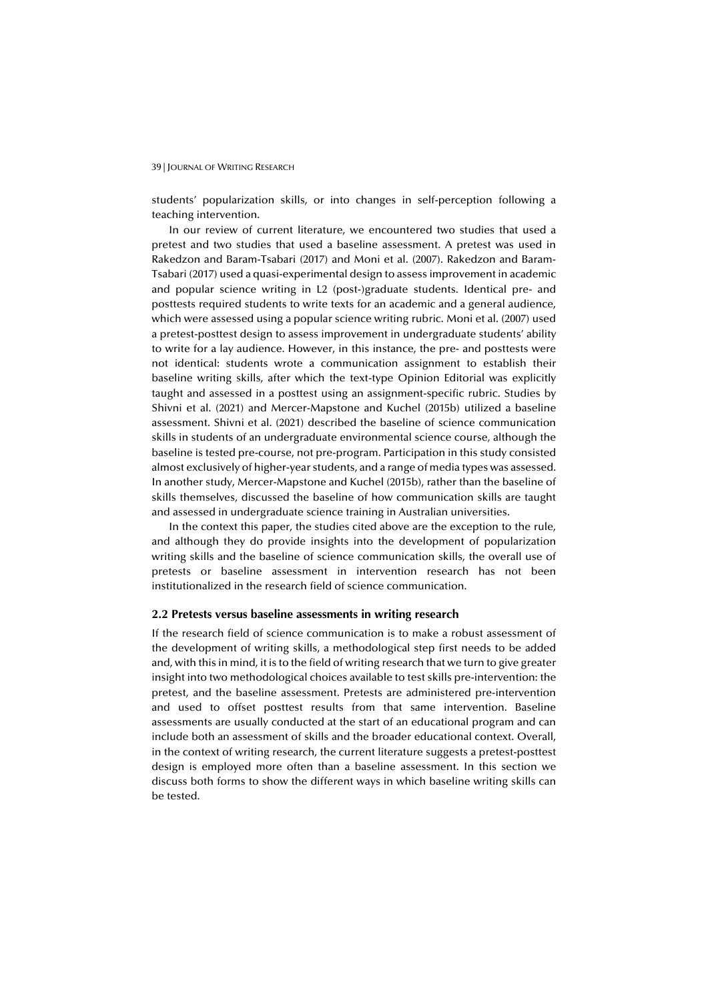students' popularization skills, or into changes in self-perception following a teaching intervention.

In our review of current literature, we encountered two studies that used a pretest and two studies that used a baseline assessment. A pretest was used in Rakedzon and Baram-Tsabari (2017) and Moni et al. (2007). Rakedzon and Baram-Tsabari (2017) used a quasi-experimental design to assess improvement in academic and popular science writing in L2 (post-)graduate students. Identical pre- and posttests required students to write texts for an academic and a general audience, which were assessed using a popular science writing rubric. Moni et al. (2007) used a pretest-posttest design to assess improvement in undergraduate students' ability to write for a lay audience. However, in this instance, the pre- and posttests were not identical: students wrote a communication assignment to establish their baseline writing skills, after which the text-type Opinion Editorial was explicitly taught and assessed in a posttest using an assignment-specific rubric. Studies by Shivni et al. (2021) and Mercer-Mapstone and Kuchel (2015b) utilized a baseline assessment. Shivni et al. (2021) described the baseline of science communication skills in students of an undergraduate environmental science course, although the baseline is tested pre-course, not pre-program. Participation in this study consisted almost exclusively of higher-year students, and a range of media types was assessed. In another study, Mercer-Mapstone and Kuchel (2015b), rather than the baseline of skills themselves, discussed the baseline of how communication skills are taught and assessed in undergraduate science training in Australian universities.

In the context this paper, the studies cited above are the exception to the rule, and although they do provide insights into the development of popularization writing skills and the baseline of science communication skills, the overall use of pretests or baseline assessment in intervention research has not been institutionalized in the research field of science communication.

## **2.2 Pretests versus baseline assessments in writing research**

If the research field of science communication is to make a robust assessment of the development of writing skills, a methodological step first needs to be added and, with this in mind, it is to the field of writing research that we turn to give greater insight into two methodological choices available to test skills pre-intervention: the pretest, and the baseline assessment. Pretests are administered pre-intervention and used to offset posttest results from that same intervention. Baseline assessments are usually conducted at the start of an educational program and can include both an assessment of skills and the broader educational context. Overall, in the context of writing research, the current literature suggests a pretest-posttest design is employed more often than a baseline assessment. In this section we discuss both forms to show the different ways in which baseline writing skills can be tested.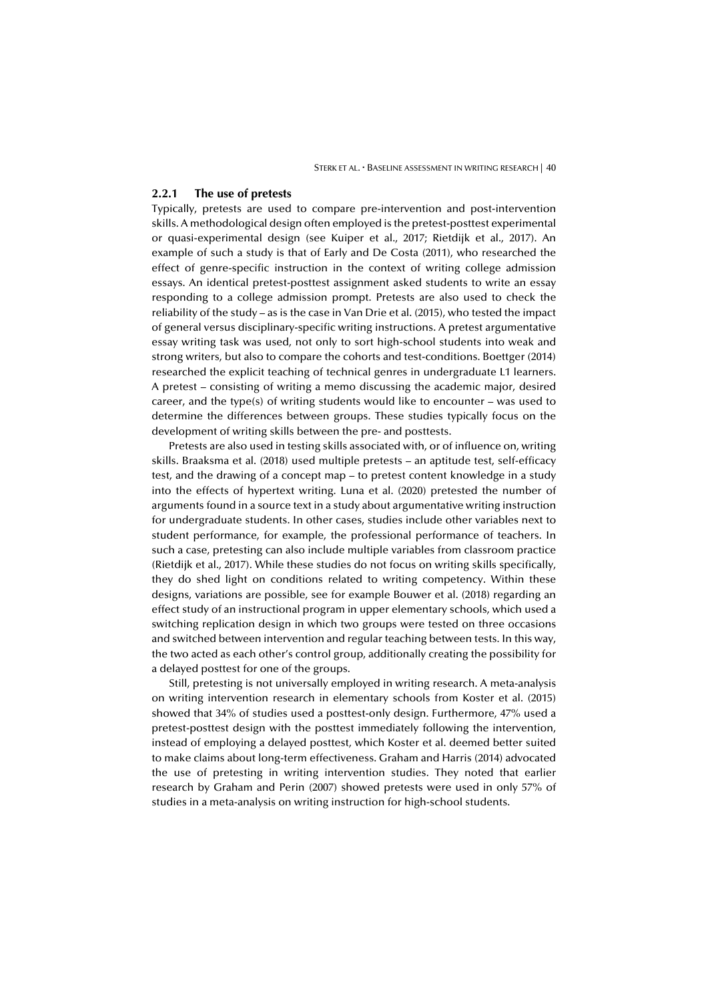#### **2.2.1 The use of pretests**

Typically, pretests are used to compare pre-intervention and post-intervention skills. A methodological design often employed is the pretest-posttest experimental or quasi-experimental design (see Kuiper et al., 2017; Rietdijk et al., 2017). An example of such a study is that of Early and De Costa (2011), who researched the effect of genre-specific instruction in the context of writing college admission essays. An identical pretest-posttest assignment asked students to write an essay responding to a college admission prompt. Pretests are also used to check the reliability of the study – as is the case in Van Drie et al. (2015), who tested the impact of general versus disciplinary-specific writing instructions. A pretest argumentative essay writing task was used, not only to sort high-school students into weak and strong writers, but also to compare the cohorts and test-conditions. Boettger (2014) researched the explicit teaching of technical genres in undergraduate L1 learners. A pretest – consisting of writing a memo discussing the academic major, desired career, and the type(s) of writing students would like to encounter – was used to determine the differences between groups. These studies typically focus on the development of writing skills between the pre- and posttests.

Pretests are also used in testing skills associated with, or of influence on, writing skills. Braaksma et al. (2018) used multiple pretests – an aptitude test, self-efficacy test, and the drawing of a concept map – to pretest content knowledge in a study into the effects of hypertext writing. Luna et al. (2020) pretested the number of arguments found in a source text in a study about argumentative writing instruction for undergraduate students. In other cases, studies include other variables next to student performance, for example, the professional performance of teachers. In such a case, pretesting can also include multiple variables from classroom practice (Rietdijk et al., 2017). While these studies do not focus on writing skills specifically, they do shed light on conditions related to writing competency. Within these designs, variations are possible, see for example Bouwer et al. (2018) regarding an effect study of an instructional program in upper elementary schools, which used a switching replication design in which two groups were tested on three occasions and switched between intervention and regular teaching between tests. In this way, the two acted as each other's control group, additionally creating the possibility for a delayed posttest for one of the groups.

Still, pretesting is not universally employed in writing research. A meta-analysis on writing intervention research in elementary schools from Koster et al. (2015) showed that 34% of studies used a posttest-only design. Furthermore, 47% used a pretest-posttest design with the posttest immediately following the intervention, instead of employing a delayed posttest, which Koster et al. deemed better suited to make claims about long-term effectiveness. Graham and Harris (2014) advocated the use of pretesting in writing intervention studies. They noted that earlier research by Graham and Perin (2007) showed pretests were used in only 57% of studies in a meta-analysis on writing instruction for high-school students.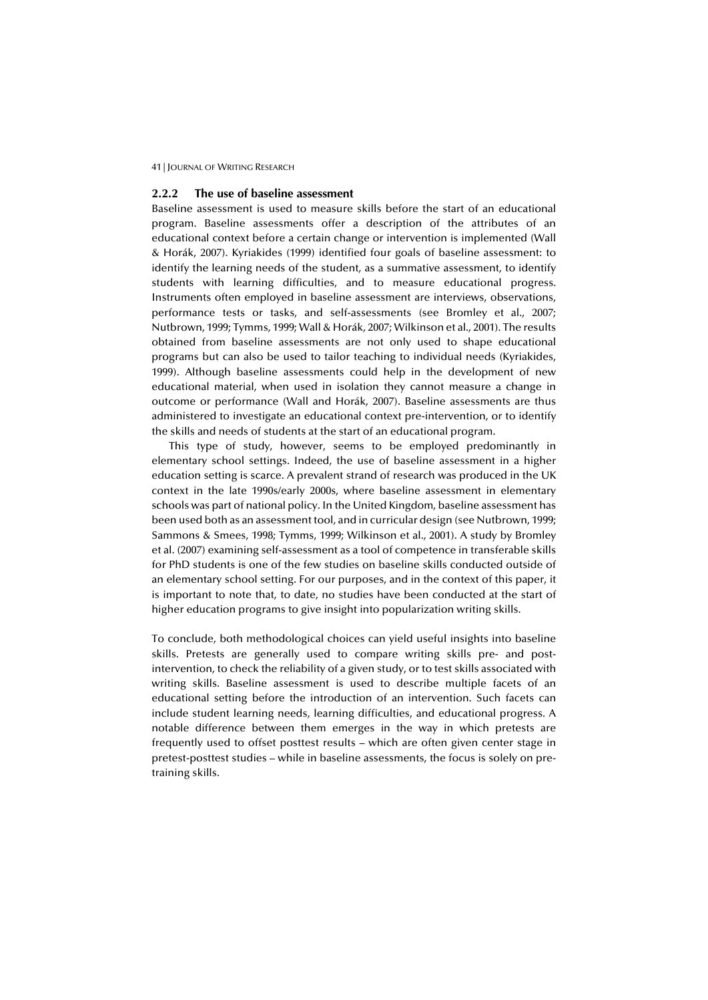## **2.2.2 The use of baseline assessment**

Baseline assessment is used to measure skills before the start of an educational program. Baseline assessments offer a description of the attributes of an educational context before a certain change or intervention is implemented (Wall & Horák, 2007). Kyriakides (1999) identified four goals of baseline assessment: to identify the learning needs of the student, as a summative assessment, to identify students with learning difficulties, and to measure educational progress. Instruments often employed in baseline assessment are interviews, observations, performance tests or tasks, and self-assessments (see Bromley et al., 2007; Nutbrown, 1999; Tymms, 1999; Wall & Horák, 2007; Wilkinson et al., 2001). The results obtained from baseline assessments are not only used to shape educational programs but can also be used to tailor teaching to individual needs (Kyriakides, 1999). Although baseline assessments could help in the development of new educational material, when used in isolation they cannot measure a change in outcome or performance (Wall and Horák, 2007). Baseline assessments are thus administered to investigate an educational context pre-intervention, or to identify the skills and needs of students at the start of an educational program.

This type of study, however, seems to be employed predominantly in elementary school settings. Indeed, the use of baseline assessment in a higher education setting is scarce. A prevalent strand of research was produced in the UK context in the late 1990s/early 2000s, where baseline assessment in elementary schools was part of national policy. In the United Kingdom, baseline assessment has been used both as an assessment tool, and in curricular design (see Nutbrown, 1999; Sammons & Smees, 1998; Tymms, 1999; Wilkinson et al., 2001). A study by Bromley et al. (2007) examining self-assessment as a tool of competence in transferable skills for PhD students is one of the few studies on baseline skills conducted outside of an elementary school setting. For our purposes, and in the context of this paper, it is important to note that, to date, no studies have been conducted at the start of higher education programs to give insight into popularization writing skills.

To conclude, both methodological choices can yield useful insights into baseline skills. Pretests are generally used to compare writing skills pre- and postintervention, to check the reliability of a given study, or to test skills associated with writing skills. Baseline assessment is used to describe multiple facets of an educational setting before the introduction of an intervention. Such facets can include student learning needs, learning difficulties, and educational progress. A notable difference between them emerges in the way in which pretests are frequently used to offset posttest results – which are often given center stage in pretest-posttest studies – while in baseline assessments, the focus is solely on pretraining skills.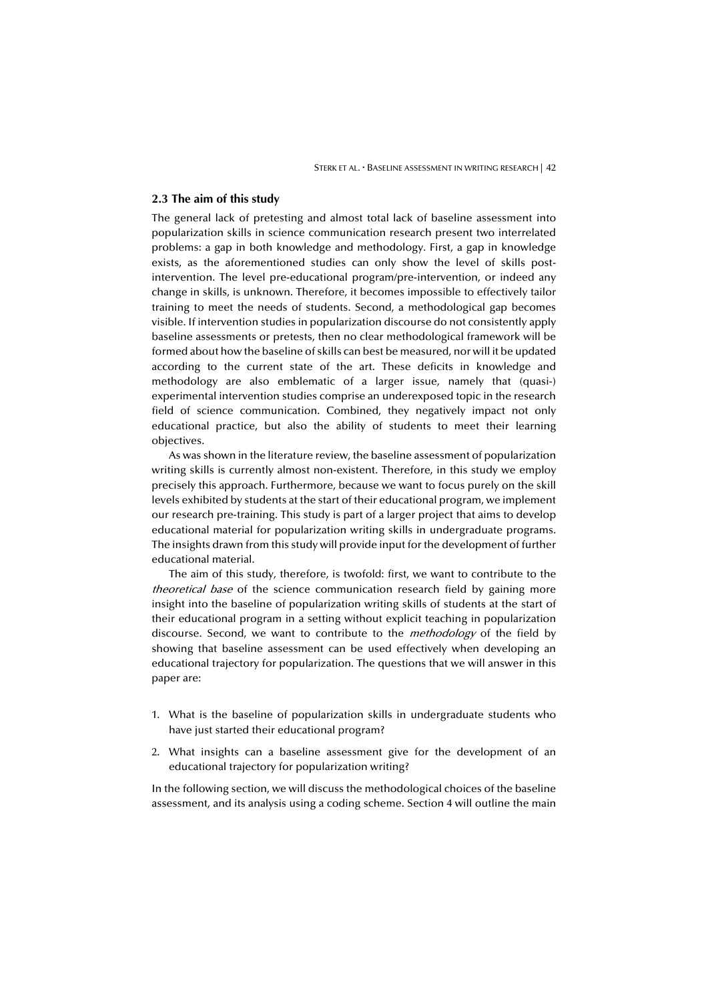#### **2.3 The aim of this study**

The general lack of pretesting and almost total lack of baseline assessment into popularization skills in science communication research present two interrelated problems: a gap in both knowledge and methodology. First, a gap in knowledge exists, as the aforementioned studies can only show the level of skills postintervention. The level pre-educational program/pre-intervention, or indeed any change in skills, is unknown. Therefore, it becomes impossible to effectively tailor training to meet the needs of students. Second, a methodological gap becomes visible. If intervention studies in popularization discourse do not consistently apply baseline assessments or pretests, then no clear methodological framework will be formed about how the baseline of skills can best be measured, nor will it be updated according to the current state of the art. These deficits in knowledge and methodology are also emblematic of a larger issue, namely that (quasi-) experimental intervention studies comprise an underexposed topic in the research field of science communication. Combined, they negatively impact not only educational practice, but also the ability of students to meet their learning objectives.

As was shown in the literature review, the baseline assessment of popularization writing skills is currently almost non-existent. Therefore, in this study we employ precisely this approach. Furthermore, because we want to focus purely on the skill levels exhibited by students at the start of their educational program, we implement our research pre-training. This study is part of a larger project that aims to develop educational material for popularization writing skills in undergraduate programs. The insights drawn from this study will provide input for the development of further educational material.

The aim of this study, therefore, is twofold: first, we want to contribute to the theoretical base of the science communication research field by gaining more insight into the baseline of popularization writing skills of students at the start of their educational program in a setting without explicit teaching in popularization discourse. Second, we want to contribute to the *methodology* of the field by showing that baseline assessment can be used effectively when developing an educational trajectory for popularization. The questions that we will answer in this paper are:

- 1. What is the baseline of popularization skills in undergraduate students who have just started their educational program?
- 2. What insights can a baseline assessment give for the development of an educational trajectory for popularization writing?

In the following section, we will discuss the methodological choices of the baseline assessment, and its analysis using a coding scheme. Section 4 will outline the main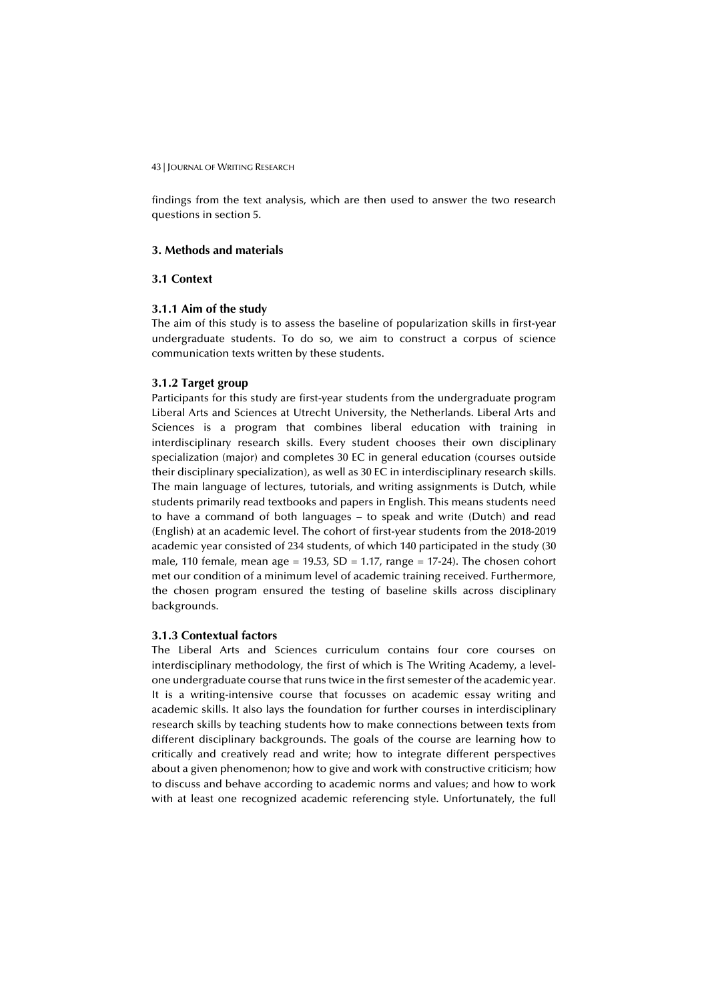findings from the text analysis, which are then used to answer the two research questions in section 5.

## **3. Methods and materials**

## **3.1 Context**

#### **3.1.1 Aim of the study**

The aim of this study is to assess the baseline of popularization skills in first-year undergraduate students. To do so, we aim to construct a corpus of science communication texts written by these students.

## **3.1.2 Target group**

Participants for this study are first-year students from the undergraduate program Liberal Arts and Sciences at Utrecht University, the Netherlands. Liberal Arts and Sciences is a program that combines liberal education with training in interdisciplinary research skills. Every student chooses their own disciplinary specialization (major) and completes 30 EC in general education (courses outside their disciplinary specialization), as well as 30 EC in interdisciplinary research skills. The main language of lectures, tutorials, and writing assignments is Dutch, while students primarily read textbooks and papers in English. This means students need to have a command of both languages – to speak and write (Dutch) and read (English) at an academic level. The cohort of first-year students from the 2018-2019 academic year consisted of 234 students, of which 140 participated in the study (30 male, 110 female, mean age = 19.53, SD = 1.17, range = 17-24). The chosen cohort met our condition of a minimum level of academic training received. Furthermore, the chosen program ensured the testing of baseline skills across disciplinary backgrounds.

#### **3.1.3 Contextual factors**

The Liberal Arts and Sciences curriculum contains four core courses on interdisciplinary methodology, the first of which is The Writing Academy, a levelone undergraduate course that runs twice in the first semester of the academic year. It is a writing-intensive course that focusses on academic essay writing and academic skills. It also lays the foundation for further courses in interdisciplinary research skills by teaching students how to make connections between texts from different disciplinary backgrounds. The goals of the course are learning how to critically and creatively read and write; how to integrate different perspectives about a given phenomenon; how to give and work with constructive criticism; how to discuss and behave according to academic norms and values; and how to work with at least one recognized academic referencing style. Unfortunately, the full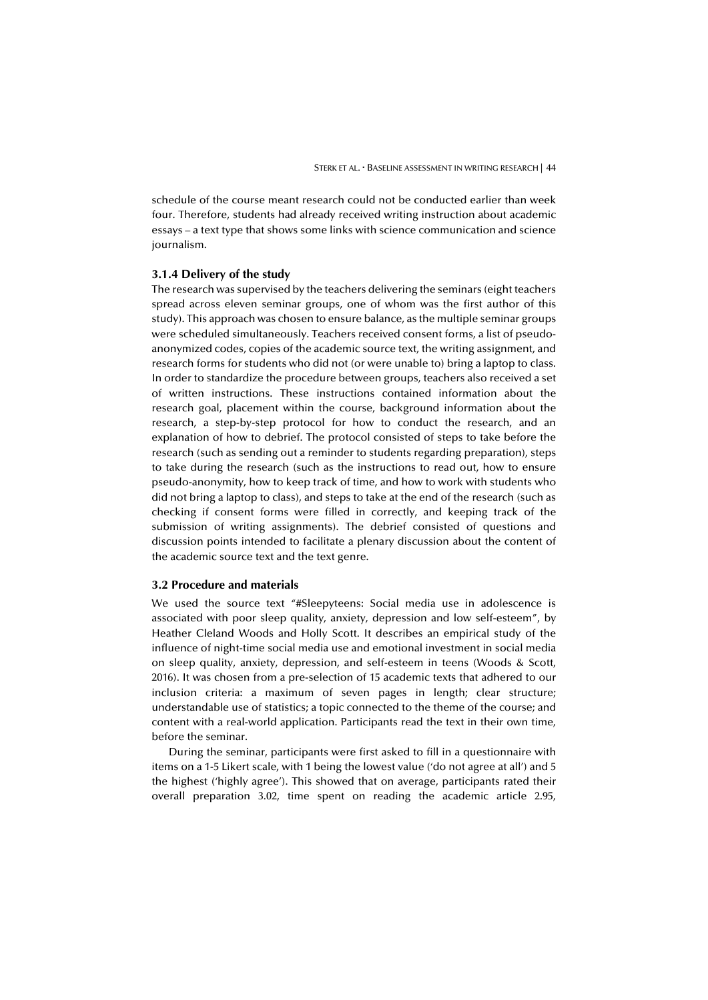schedule of the course meant research could not be conducted earlier than week four. Therefore, students had already received writing instruction about academic essays – a text type that shows some links with science communication and science journalism.

#### **3.1.4 Delivery of the study**

The research was supervised by the teachers delivering the seminars (eight teachers spread across eleven seminar groups, one of whom was the first author of this study). This approach was chosen to ensure balance, as the multiple seminar groups were scheduled simultaneously. Teachers received consent forms, a list of pseudoanonymized codes, copies of the academic source text, the writing assignment, and research forms for students who did not (or were unable to) bring a laptop to class. In order to standardize the procedure between groups, teachers also received a set of written instructions. These instructions contained information about the research goal, placement within the course, background information about the research, a step-by-step protocol for how to conduct the research, and an explanation of how to debrief. The protocol consisted of steps to take before the research (such as sending out a reminder to students regarding preparation), steps to take during the research (such as the instructions to read out, how to ensure pseudo-anonymity, how to keep track of time, and how to work with students who did not bring a laptop to class), and steps to take at the end of the research (such as checking if consent forms were filled in correctly, and keeping track of the submission of writing assignments). The debrief consisted of questions and discussion points intended to facilitate a plenary discussion about the content of the academic source text and the text genre.

## **3.2 Procedure and materials**

We used the source text "#Sleepyteens: Social media use in adolescence is associated with poor sleep quality, anxiety, depression and low self-esteem", by Heather Cleland Woods and Holly Scott. It describes an empirical study of the influence of night-time social media use and emotional investment in social media on sleep quality, anxiety, depression, and self-esteem in teens (Woods & Scott, 2016). It was chosen from a pre-selection of 15 academic texts that adhered to our inclusion criteria: a maximum of seven pages in length; clear structure; understandable use of statistics; a topic connected to the theme of the course; and content with a real-world application. Participants read the text in their own time, before the seminar.

During the seminar, participants were first asked to fill in a questionnaire with items on a 1-5 Likert scale, with 1 being the lowest value ('do not agree at all') and 5 the highest ('highly agree'). This showed that on average, participants rated their overall preparation 3.02, time spent on reading the academic article 2.95,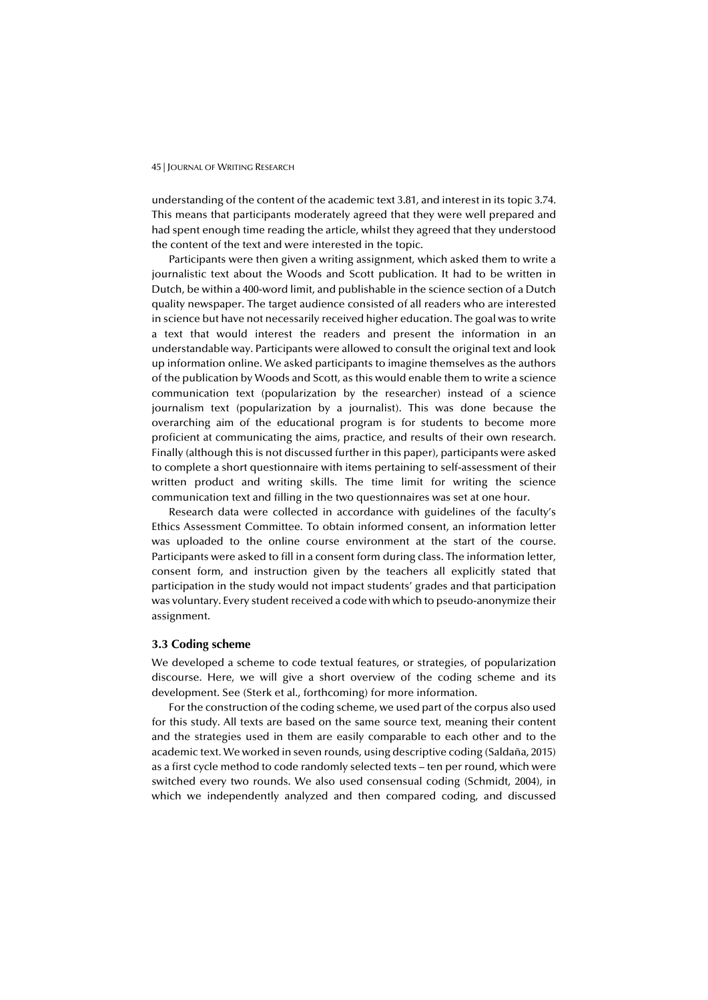understanding of the content of the academic text 3.81, and interest in its topic 3.74. This means that participants moderately agreed that they were well prepared and had spent enough time reading the article, whilst they agreed that they understood the content of the text and were interested in the topic.

Participants were then given a writing assignment, which asked them to write a journalistic text about the Woods and Scott publication. It had to be written in Dutch, be within a 400-word limit, and publishable in the science section of a Dutch quality newspaper. The target audience consisted of all readers who are interested in science but have not necessarily received higher education. The goal was to write a text that would interest the readers and present the information in an understandable way. Participants were allowed to consult the original text and look up information online. We asked participants to imagine themselves as the authors of the publication by Woods and Scott, as this would enable them to write a science communication text (popularization by the researcher) instead of a science journalism text (popularization by a journalist). This was done because the overarching aim of the educational program is for students to become more proficient at communicating the aims, practice, and results of their own research. Finally (although this is not discussed further in this paper), participants were asked to complete a short questionnaire with items pertaining to self-assessment of their written product and writing skills. The time limit for writing the science communication text and filling in the two questionnaires was set at one hour.

Research data were collected in accordance with guidelines of the faculty's Ethics Assessment Committee. To obtain informed consent, an information letter was uploaded to the online course environment at the start of the course. Participants were asked to fill in a consent form during class. The information letter, consent form, and instruction given by the teachers all explicitly stated that participation in the study would not impact students' grades and that participation was voluntary. Every student received a code with which to pseudo-anonymize their assignment.

## **3.3 Coding scheme**

We developed a scheme to code textual features, or strategies, of popularization discourse. Here, we will give a short overview of the coding scheme and its development. See (Sterk et al., forthcoming) for more information.

For the construction of the coding scheme, we used part of the corpus also used for this study. All texts are based on the same source text, meaning their content and the strategies used in them are easily comparable to each other and to the academic text. We worked in seven rounds, using descriptive coding (Saldaña, 2015) as a first cycle method to code randomly selected texts – ten per round, which were switched every two rounds. We also used consensual coding (Schmidt, 2004), in which we independently analyzed and then compared coding, and discussed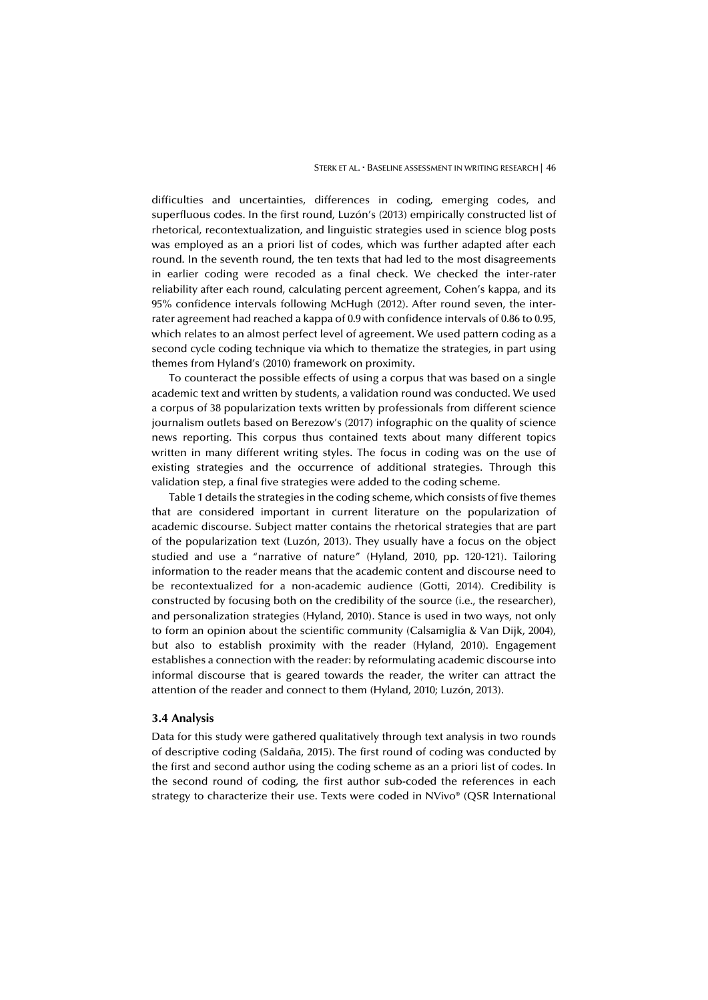difficulties and uncertainties, differences in coding, emerging codes, and superfluous codes. In the first round, Luzón's (2013) empirically constructed list of rhetorical, recontextualization, and linguistic strategies used in science blog posts was employed as an a priori list of codes, which was further adapted after each round. In the seventh round, the ten texts that had led to the most disagreements in earlier coding were recoded as a final check. We checked the inter-rater reliability after each round, calculating percent agreement, Cohen's kappa, and its 95% confidence intervals following McHugh (2012). After round seven, the interrater agreement had reached a kappa of 0.9 with confidence intervals of 0.86 to 0.95, which relates to an almost perfect level of agreement. We used pattern coding as a second cycle coding technique via which to thematize the strategies, in part using themes from Hyland's (2010) framework on proximity.

To counteract the possible effects of using a corpus that was based on a single academic text and written by students, a validation round was conducted. We used a corpus of 38 popularization texts written by professionals from different science journalism outlets based on Berezow's (2017) infographic on the quality of science news reporting. This corpus thus contained texts about many different topics written in many different writing styles. The focus in coding was on the use of existing strategies and the occurrence of additional strategies. Through this validation step, a final five strategies were added to the coding scheme.

Table 1 details the strategies in the coding scheme, which consists of five themes that are considered important in current literature on the popularization of academic discourse. Subject matter contains the rhetorical strategies that are part of the popularization text (Luzón, 2013). They usually have a focus on the object studied and use a "narrative of nature" (Hyland, 2010, pp. 120-121). Tailoring information to the reader means that the academic content and discourse need to be recontextualized for a non-academic audience (Gotti, 2014). Credibility is constructed by focusing both on the credibility of the source (i.e., the researcher), and personalization strategies (Hyland, 2010). Stance is used in two ways, not only to form an opinion about the scientific community (Calsamiglia & Van Dijk, 2004), but also to establish proximity with the reader (Hyland, 2010). Engagement establishes a connection with the reader: by reformulating academic discourse into informal discourse that is geared towards the reader, the writer can attract the attention of the reader and connect to them (Hyland, 2010; Luzón, 2013).

#### **3.4 Analysis**

Data for this study were gathered qualitatively through text analysis in two rounds of descriptive coding (Saldaña, 2015). The first round of coding was conducted by the first and second author using the coding scheme as an a priori list of codes. In the second round of coding, the first author sub-coded the references in each strategy to characterize their use. Texts were coded in NVivo® (QSR International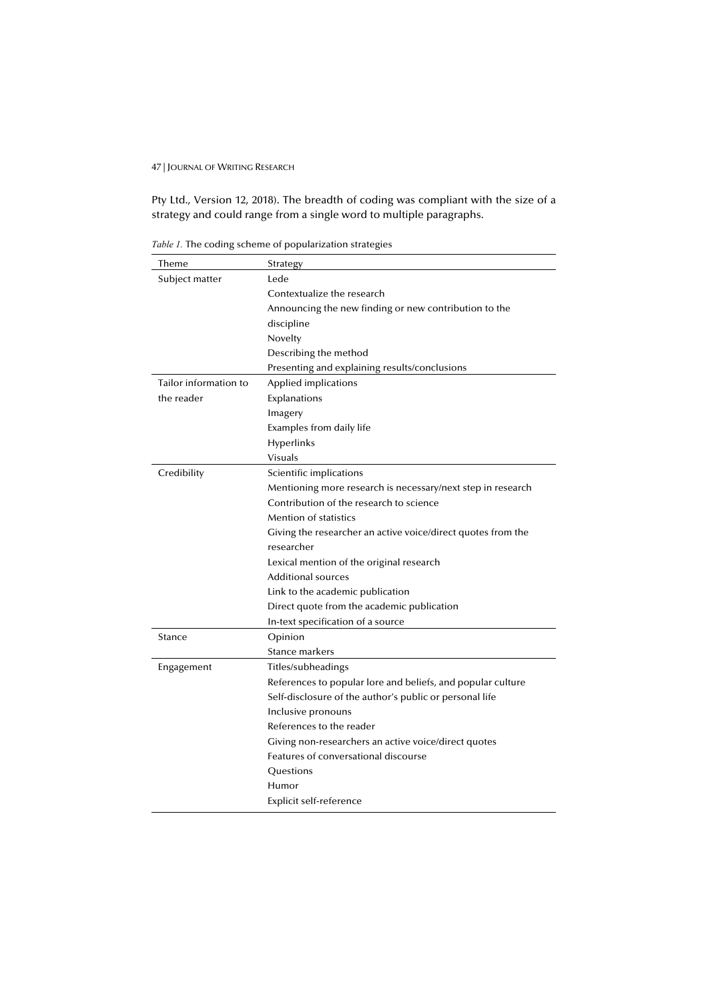Pty Ltd., Version 12, 2018). The breadth of coding was compliant with the size of a strategy and could range from a single word to multiple paragraphs.

*Table 1.* The coding scheme of popularization strategies

| Theme                 | Strategy                                                     |
|-----------------------|--------------------------------------------------------------|
| Subject matter        | Lede                                                         |
|                       | Contextualize the research                                   |
|                       | Announcing the new finding or new contribution to the        |
|                       | discipline                                                   |
|                       | Novelty                                                      |
|                       | Describing the method                                        |
|                       | Presenting and explaining results/conclusions                |
| Tailor information to | Applied implications                                         |
| the reader            | Explanations                                                 |
|                       | Imagery                                                      |
|                       | Examples from daily life                                     |
|                       | <b>Hyperlinks</b>                                            |
|                       | Visuals                                                      |
| Credibility           | Scientific implications                                      |
|                       | Mentioning more research is necessary/next step in research  |
|                       | Contribution of the research to science                      |
|                       | <b>Mention of statistics</b>                                 |
|                       | Giving the researcher an active voice/direct quotes from the |
|                       | researcher                                                   |
|                       | Lexical mention of the original research                     |
|                       | Additional sources                                           |
|                       | Link to the academic publication                             |
|                       | Direct quote from the academic publication                   |
|                       | In-text specification of a source                            |
| Stance                | Opinion                                                      |
|                       | Stance markers                                               |
| Engagement            | Titles/subheadings                                           |
|                       | References to popular lore and beliefs, and popular culture  |
|                       | Self-disclosure of the author's public or personal life      |
|                       | Inclusive pronouns                                           |
|                       | References to the reader                                     |
|                       | Giving non-researchers an active voice/direct quotes         |
|                       | Features of conversational discourse                         |
|                       | Questions                                                    |
|                       | Humor                                                        |
|                       | Explicit self-reference                                      |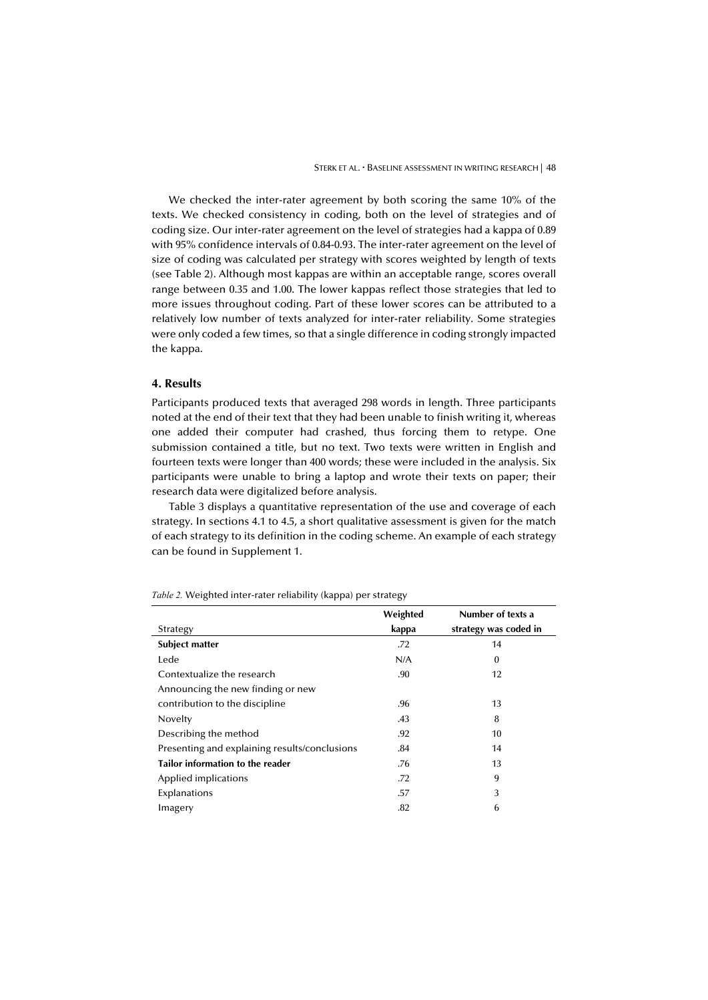We checked the inter-rater agreement by both scoring the same 10% of the texts. We checked consistency in coding, both on the level of strategies and of coding size. Our inter-rater agreement on the level of strategies had a kappa of 0.89 with 95% confidence intervals of 0.84-0.93. The inter-rater agreement on the level of size of coding was calculated per strategy with scores weighted by length of texts (see Table 2). Although most kappas are within an acceptable range, scores overall range between 0.35 and 1.00. The lower kappas reflect those strategies that led to more issues throughout coding. Part of these lower scores can be attributed to a relatively low number of texts analyzed for inter-rater reliability. Some strategies were only coded a few times, so that a single difference in coding strongly impacted the kappa.

## **4. Results**

Participants produced texts that averaged 298 words in length. Three participants noted at the end of their text that they had been unable to finish writing it, whereas one added their computer had crashed, thus forcing them to retype. One submission contained a title, but no text. Two texts were written in English and fourteen texts were longer than 400 words; these were included in the analysis. Six participants were unable to bring a laptop and wrote their texts on paper; their research data were digitalized before analysis.

Table 3 displays a quantitative representation of the use and coverage of each strategy. In sections 4.1 to 4.5, a short qualitative assessment is given for the match of each strategy to its definition in the coding scheme. An example of each strategy can be found in Supplement 1.

|                                               | Weighted | Number of texts a     |
|-----------------------------------------------|----------|-----------------------|
| Strategy                                      | kappa    | strategy was coded in |
| <b>Subject matter</b>                         | .72      | 14                    |
| Lede                                          | N/A      | $\bf{0}$              |
| Contextualize the research                    | .90      | 12                    |
| Announcing the new finding or new             |          |                       |
| contribution to the discipline                | .96      | 13                    |
| Novelty                                       | .43      | 8                     |
| Describing the method                         | .92      | 10                    |
| Presenting and explaining results/conclusions | .84      | 14                    |
| <b>Tailor information to the reader</b>       | .76      | 13                    |
| Applied implications                          | .72      | 9                     |
| Explanations                                  | .57      | 3                     |
| Imagery                                       | .82      | 6                     |

*Table 2.* Weighted inter-rater reliability (kappa) per strategy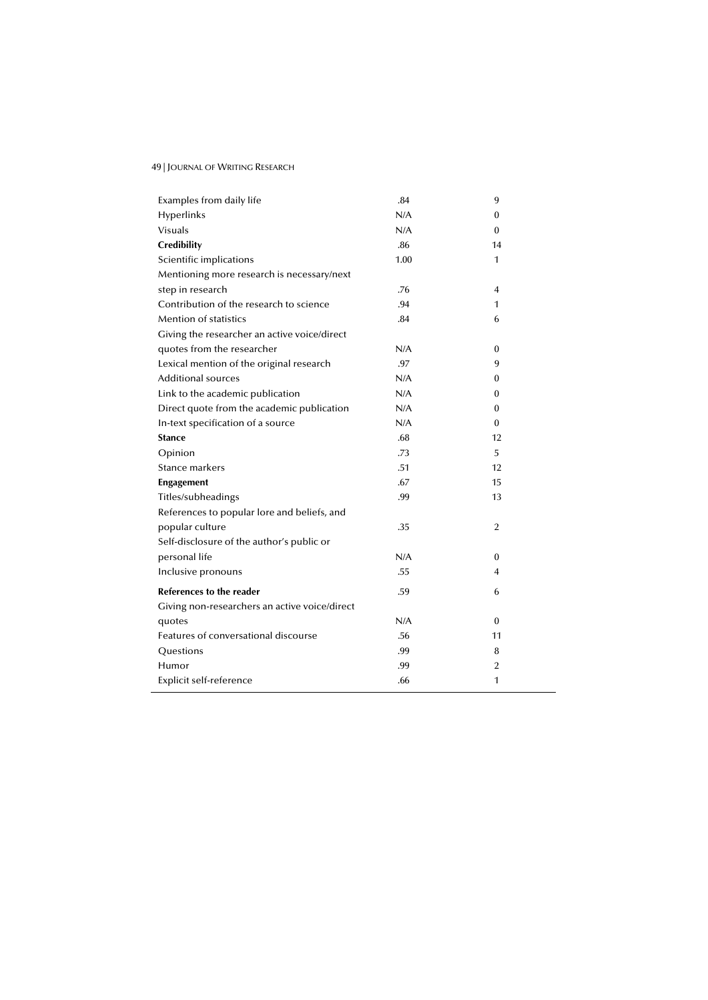| Examples from daily life                      | .84  | 9              |
|-----------------------------------------------|------|----------------|
| Hyperlinks                                    | N/A  | 0              |
| <b>Visuals</b>                                | N/A  | $\Omega$       |
| <b>Credibility</b>                            | .86  | 14             |
| Scientific implications                       | 1.00 | 1              |
| Mentioning more research is necessary/next    |      |                |
| step in research                              | .76  | $\overline{4}$ |
| Contribution of the research to science       | .94  | 1              |
| Mention of statistics                         | .84  | 6              |
|                                               |      |                |
| Giving the researcher an active voice/direct  |      |                |
| quotes from the researcher                    | N/A  | $\theta$       |
| Lexical mention of the original research      | .97  | 9              |
| Additional sources                            | N/A  | $\Omega$       |
| Link to the academic publication              | N/A  | 0              |
| Direct quote from the academic publication    | N/A  | 0              |
| In-text specification of a source             | N/A  | $\theta$       |
| <b>Stance</b>                                 | .68  | 12             |
| Opinion                                       | .73  | 5              |
| Stance markers                                | .51  | 12             |
| <b>Engagement</b>                             | .67  | 15             |
| Titles/subheadings                            | .99  | 13             |
| References to popular lore and beliefs, and   |      |                |
| popular culture                               | .35  | $\overline{2}$ |
| Self-disclosure of the author's public or     |      |                |
| personal life                                 | N/A  | $\Omega$       |
| Inclusive pronouns                            | .55  | 4              |
| References to the reader                      | .59  | 6              |
| Giving non-researchers an active voice/direct |      |                |
| quotes                                        | N/A  | $\bf{0}$       |
| Features of conversational discourse          | .56  | 11             |
| Questions                                     | .99  | 8              |
| Humor                                         | .99  | $\overline{2}$ |
| Explicit self-reference                       | .66  | 1              |
|                                               |      |                |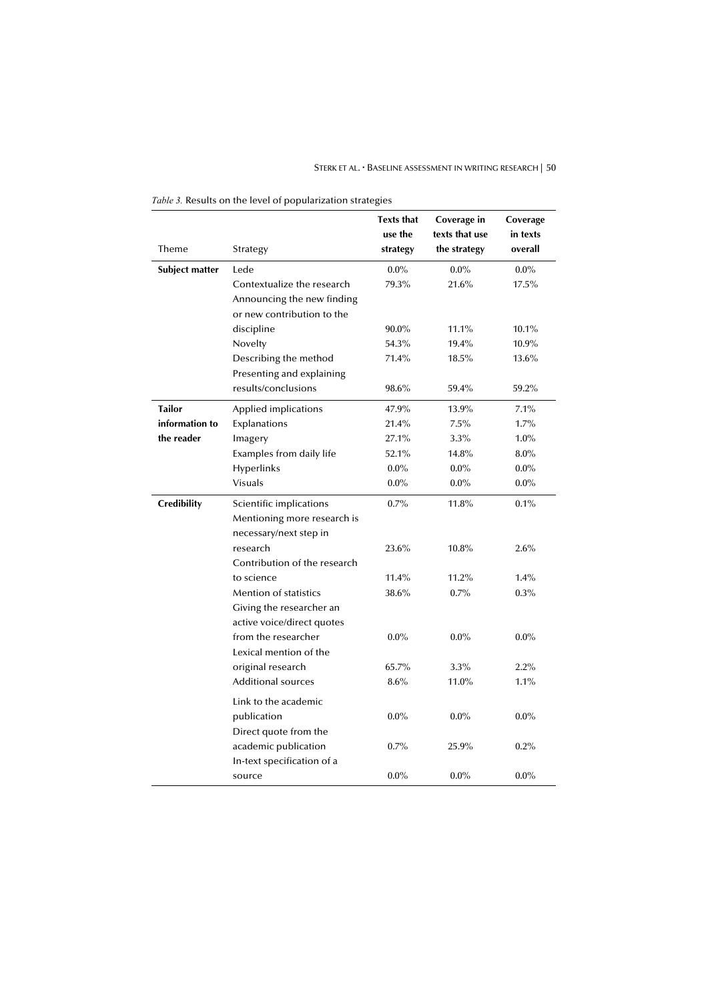## STERK ET AL. **· BASELINE ASSESSMENT IN WRITING RESEARCH** | 50

|                       |                              | <b>Texts that</b><br>use the | Coverage in<br>texts that use | Coverage<br>in texts |  |
|-----------------------|------------------------------|------------------------------|-------------------------------|----------------------|--|
| Theme                 | Strategy                     | strategy                     | the strategy                  | overall              |  |
| <b>Subject matter</b> | Lede                         | $0.0\%$                      | $0.0\%$                       | $0.0\%$              |  |
|                       | Contextualize the research   | 79.3%                        | 21.6%                         | 17.5%                |  |
|                       | Announcing the new finding   |                              |                               |                      |  |
|                       | or new contribution to the   |                              |                               |                      |  |
|                       | discipline                   | 90.0%                        | 11.1%                         | 10.1%                |  |
|                       | Novelty                      | 54.3%                        | 19.4%                         | 10.9%                |  |
|                       | Describing the method        | 71.4%                        | 18.5%                         | 13.6%                |  |
|                       | Presenting and explaining    |                              |                               |                      |  |
|                       | results/conclusions          | 98.6%                        | 59.4%                         | 59.2%                |  |
| <b>Tailor</b>         | Applied implications         | 47.9%                        | 13.9%                         | 7.1%                 |  |
| information to        | Explanations                 | 21.4%                        | 7.5%                          | 1.7%                 |  |
| the reader            | Imagery                      | 27.1%                        | $3.3\%$                       | $1.0\%$              |  |
|                       | Examples from daily life     | 52.1%                        | 14.8%                         | $8.0\%$              |  |
|                       | Hyperlinks                   | $0.0\%$                      | $0.0\%$                       | $0.0\%$              |  |
|                       | <b>Visuals</b>               | $0.0\%$                      | $0.0\%$                       | $0.0\%$              |  |
| <b>Credibility</b>    | Scientific implications      | 0.7%                         | 11.8%                         | 0.1%                 |  |
|                       | Mentioning more research is  |                              |                               |                      |  |
|                       | necessary/next step in       |                              |                               |                      |  |
|                       | research                     | 23.6%                        | 10.8%                         | 2.6%                 |  |
|                       | Contribution of the research |                              |                               |                      |  |
|                       | to science                   | 11.4%                        | 11.2%                         | 1.4%                 |  |
|                       | <b>Mention of statistics</b> | 38.6%                        | 0.7%                          | 0.3%                 |  |
|                       | Giving the researcher an     |                              |                               |                      |  |
|                       | active voice/direct quotes   |                              |                               |                      |  |
|                       | from the researcher          | $0.0\%$                      | $0.0\%$                       | $0.0\%$              |  |
|                       | Lexical mention of the       |                              |                               |                      |  |

original research 65.7% 3.3% 2.2% Additional sources 8.6% 11.0% 1.1%

publication 0.0% 0.0% 0.0% 0.0%

academic publication  $0.7\%$  25.9%  $0.2\%$ 

source 0.0% 0.0% 0.0% 0.0%

*Table 3.* Results on the level of popularization strategies

Link to the academic

Direct quote from the

In-text specification of a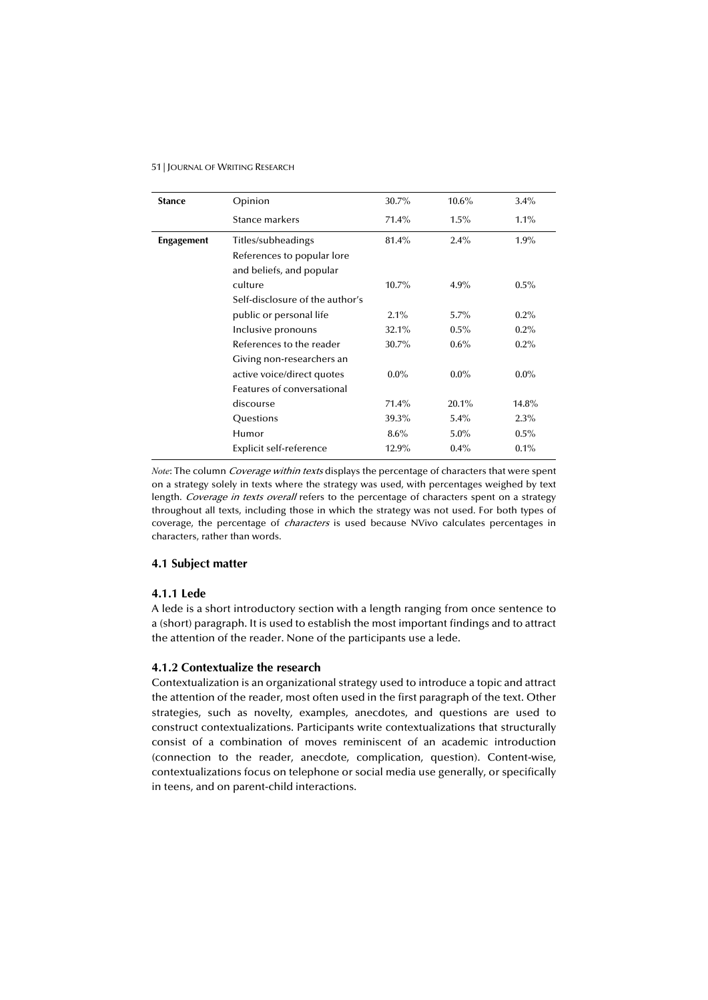| <b>Stance</b>     | Opinion                         | 30.7%    | $10.6\%$ | 3.4%    |
|-------------------|---------------------------------|----------|----------|---------|
|                   | Stance markers                  | $71.4\%$ | 1.5%     | $1.1\%$ |
| <b>Engagement</b> | Titles/subheadings              | 81.4%    | $2.4\%$  | $1.9\%$ |
|                   | References to popular lore      |          |          |         |
|                   | and beliefs, and popular        |          |          |         |
|                   | culture                         | $10.7\%$ | $4.9\%$  | $0.5\%$ |
|                   | Self-disclosure of the author's |          |          |         |
|                   | public or personal life         | 2.1%     | $5.7\%$  | $0.2\%$ |
|                   | Inclusive pronouns              | 32.1%    | $0.5\%$  | $0.2\%$ |
|                   | References to the reader        | 30.7%    | $0.6\%$  | $0.2\%$ |
|                   | Giving non-researchers an       |          |          |         |
|                   | active voice/direct quotes      | $0.0\%$  | $0.0\%$  | $0.0\%$ |
|                   | Features of conversational      |          |          |         |
|                   | discourse                       | $71.4\%$ | 20.1%    | 14.8%   |
|                   | Questions                       | 39.3%    | $5.4\%$  | $2.3\%$ |
|                   | Humor                           | $8.6\%$  | $5.0\%$  | $0.5\%$ |
|                   | Explicit self-reference         | 12.9%    | $0.4\%$  | $0.1\%$ |

*Note*: The column *Coverage within texts* displays the percentage of characters that were spent on a strategy solely in texts where the strategy was used, with percentages weighed by text length. Coverage in texts overall refers to the percentage of characters spent on a strategy throughout all texts, including those in which the strategy was not used. For both types of coverage, the percentage of characters is used because NVivo calculates percentages in characters, rather than words.

## **4.1 Subject matter**

## **4.1.1 Lede**

A lede is a short introductory section with a length ranging from once sentence to a (short) paragraph. It is used to establish the most important findings and to attract the attention of the reader. None of the participants use a lede.

## **4.1.2 Contextualize the research**

Contextualization is an organizational strategy used to introduce a topic and attract the attention of the reader, most often used in the first paragraph of the text. Other strategies, such as novelty, examples, anecdotes, and questions are used to construct contextualizations. Participants write contextualizations that structurally consist of a combination of moves reminiscent of an academic introduction (connection to the reader, anecdote, complication, question). Content-wise, contextualizations focus on telephone or social media use generally, or specifically in teens, and on parent-child interactions.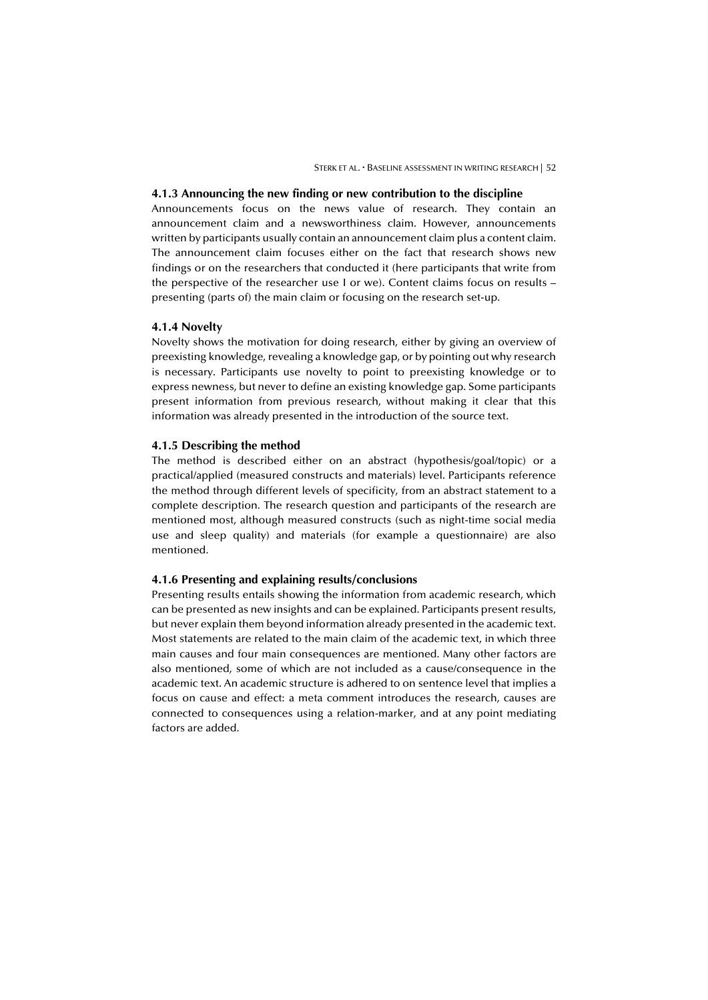#### **4.1.3 Announcing the new finding or new contribution to the discipline**

Announcements focus on the news value of research. They contain an announcement claim and a newsworthiness claim. However, announcements written by participants usually contain an announcement claim plus a content claim. The announcement claim focuses either on the fact that research shows new findings or on the researchers that conducted it (here participants that write from the perspective of the researcher use I or we). Content claims focus on results – presenting (parts of) the main claim or focusing on the research set-up.

## **4.1.4 Novelty**

Novelty shows the motivation for doing research, either by giving an overview of preexisting knowledge, revealing a knowledge gap, or by pointing out why research is necessary. Participants use novelty to point to preexisting knowledge or to express newness, but never to define an existing knowledge gap. Some participants present information from previous research, without making it clear that this information was already presented in the introduction of the source text.

#### **4.1.5 Describing the method**

The method is described either on an abstract (hypothesis/goal/topic) or a practical/applied (measured constructs and materials) level. Participants reference the method through different levels of specificity, from an abstract statement to a complete description. The research question and participants of the research are mentioned most, although measured constructs (such as night-time social media use and sleep quality) and materials (for example a questionnaire) are also mentioned.

#### **4.1.6 Presenting and explaining results/conclusions**

Presenting results entails showing the information from academic research, which can be presented as new insights and can be explained. Participants present results, but never explain them beyond information already presented in the academic text. Most statements are related to the main claim of the academic text, in which three main causes and four main consequences are mentioned. Many other factors are also mentioned, some of which are not included as a cause/consequence in the academic text. An academic structure is adhered to on sentence level that implies a focus on cause and effect: a meta comment introduces the research, causes are connected to consequences using a relation-marker, and at any point mediating factors are added.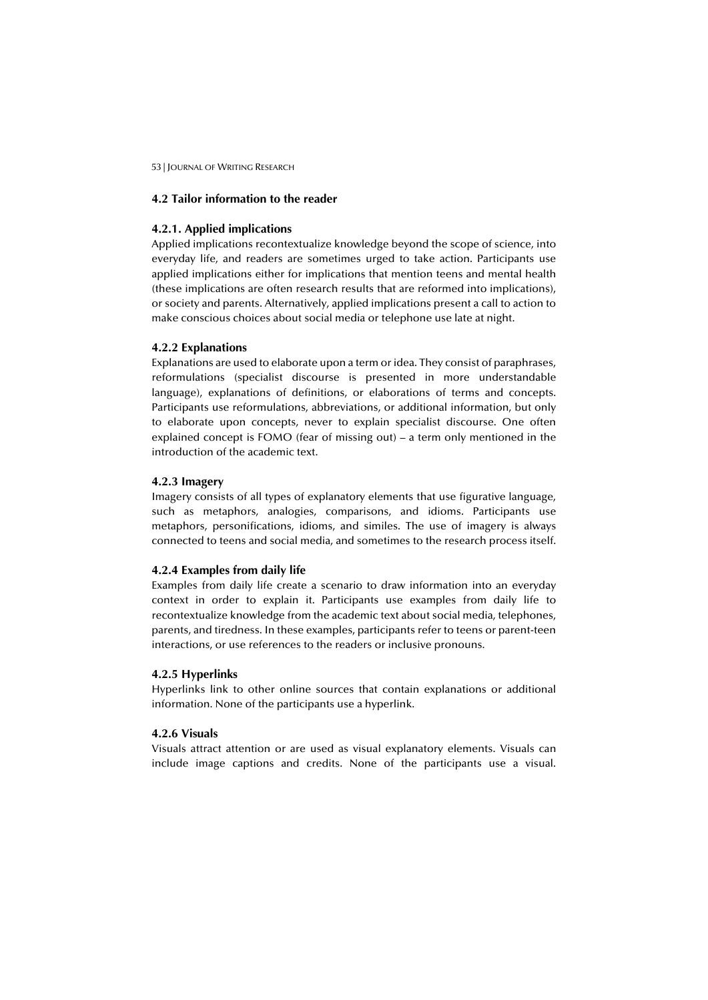#### **4.2 Tailor information to the reader**

#### **4.2.1. Applied implications**

Applied implications recontextualize knowledge beyond the scope of science, into everyday life, and readers are sometimes urged to take action. Participants use applied implications either for implications that mention teens and mental health (these implications are often research results that are reformed into implications), or society and parents. Alternatively, applied implications present a call to action to make conscious choices about social media or telephone use late at night.

## **4.2.2 Explanations**

Explanations are used to elaborate upon a term or idea. They consist of paraphrases, reformulations (specialist discourse is presented in more understandable language), explanations of definitions, or elaborations of terms and concepts. Participants use reformulations, abbreviations, or additional information, but only to elaborate upon concepts, never to explain specialist discourse. One often explained concept is FOMO (fear of missing out) – a term only mentioned in the introduction of the academic text.

## **4.2.3 Imagery**

Imagery consists of all types of explanatory elements that use figurative language, such as metaphors, analogies, comparisons, and idioms. Participants use metaphors, personifications, idioms, and similes. The use of imagery is always connected to teens and social media, and sometimes to the research process itself.

## **4.2.4 Examples from daily life**

Examples from daily life create a scenario to draw information into an everyday context in order to explain it. Participants use examples from daily life to recontextualize knowledge from the academic text about social media, telephones, parents, and tiredness. In these examples, participants refer to teens or parent-teen interactions, or use references to the readers or inclusive pronouns.

## **4.2.5 Hyperlinks**

Hyperlinks link to other online sources that contain explanations or additional information. None of the participants use a hyperlink.

## **4.2.6 Visuals**

Visuals attract attention or are used as visual explanatory elements. Visuals can include image captions and credits. None of the participants use a visual.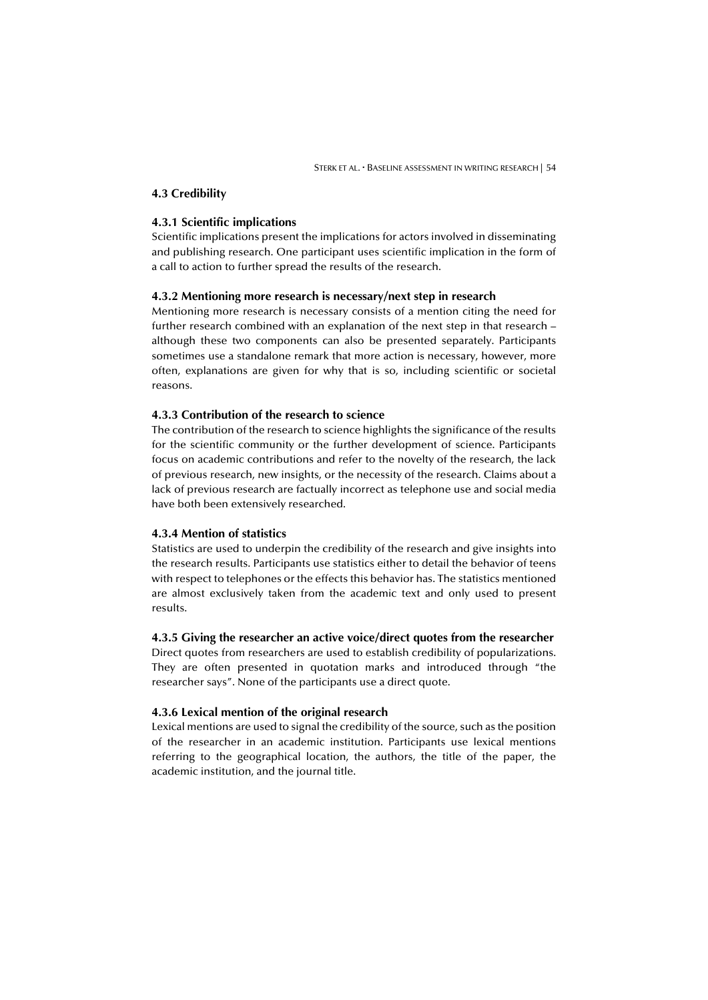## **4.3 Credibility**

#### **4.3.1 Scientific implications**

Scientific implications present the implications for actors involved in disseminating and publishing research. One participant uses scientific implication in the form of a call to action to further spread the results of the research.

#### **4.3.2 Mentioning more research is necessary/next step in research**

Mentioning more research is necessary consists of a mention citing the need for further research combined with an explanation of the next step in that research – although these two components can also be presented separately. Participants sometimes use a standalone remark that more action is necessary, however, more often, explanations are given for why that is so, including scientific or societal reasons.

# **4.3.3 Contribution of the research to science**

The contribution of the research to science highlights the significance of the results for the scientific community or the further development of science. Participants focus on academic contributions and refer to the novelty of the research, the lack of previous research, new insights, or the necessity of the research. Claims about a lack of previous research are factually incorrect as telephone use and social media have both been extensively researched.

## **4.3.4 Mention of statistics**

Statistics are used to underpin the credibility of the research and give insights into the research results. Participants use statistics either to detail the behavior of teens with respect to telephones or the effects this behavior has. The statistics mentioned are almost exclusively taken from the academic text and only used to present results.

#### **4.3.5 Giving the researcher an active voice/direct quotes from the researcher**

Direct quotes from researchers are used to establish credibility of popularizations. They are often presented in quotation marks and introduced through "the researcher says". None of the participants use a direct quote.

## **4.3.6 Lexical mention of the original research**

Lexical mentions are used to signal the credibility of the source, such as the position of the researcher in an academic institution. Participants use lexical mentions referring to the geographical location, the authors, the title of the paper, the academic institution, and the journal title.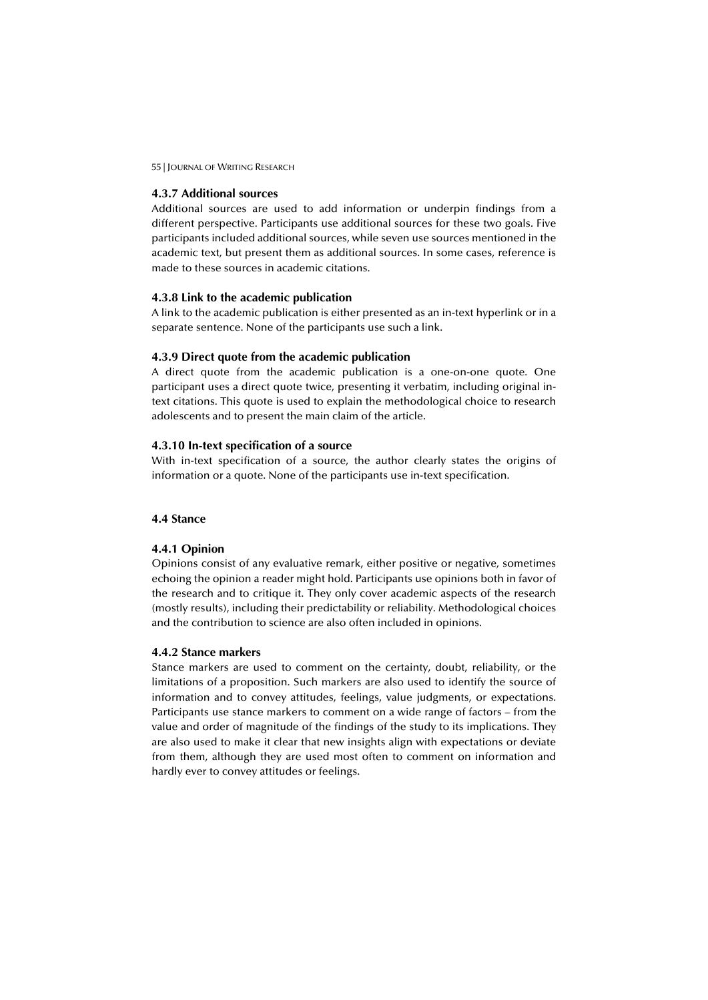## **4.3.7 Additional sources**

Additional sources are used to add information or underpin findings from a different perspective. Participants use additional sources for these two goals. Five participants included additional sources, while seven use sources mentioned in the academic text, but present them as additional sources. In some cases, reference is made to these sources in academic citations.

## **4.3.8 Link to the academic publication**

A link to the academic publication is either presented as an in-text hyperlink or in a separate sentence. None of the participants use such a link.

## **4.3.9 Direct quote from the academic publication**

A direct quote from the academic publication is a one-on-one quote. One participant uses a direct quote twice, presenting it verbatim, including original intext citations. This quote is used to explain the methodological choice to research adolescents and to present the main claim of the article.

## **4.3.10 In-text specification of a source**

With in-text specification of a source, the author clearly states the origins of information or a quote. None of the participants use in-text specification.

## **4.4 Stance**

#### **4.4.1 Opinion**

Opinions consist of any evaluative remark, either positive or negative, sometimes echoing the opinion a reader might hold. Participants use opinions both in favor of the research and to critique it. They only cover academic aspects of the research (mostly results), including their predictability or reliability. Methodological choices and the contribution to science are also often included in opinions.

#### **4.4.2 Stance markers**

Stance markers are used to comment on the certainty, doubt, reliability, or the limitations of a proposition. Such markers are also used to identify the source of information and to convey attitudes, feelings, value judgments, or expectations. Participants use stance markers to comment on a wide range of factors – from the value and order of magnitude of the findings of the study to its implications. They are also used to make it clear that new insights align with expectations or deviate from them, although they are used most often to comment on information and hardly ever to convey attitudes or feelings.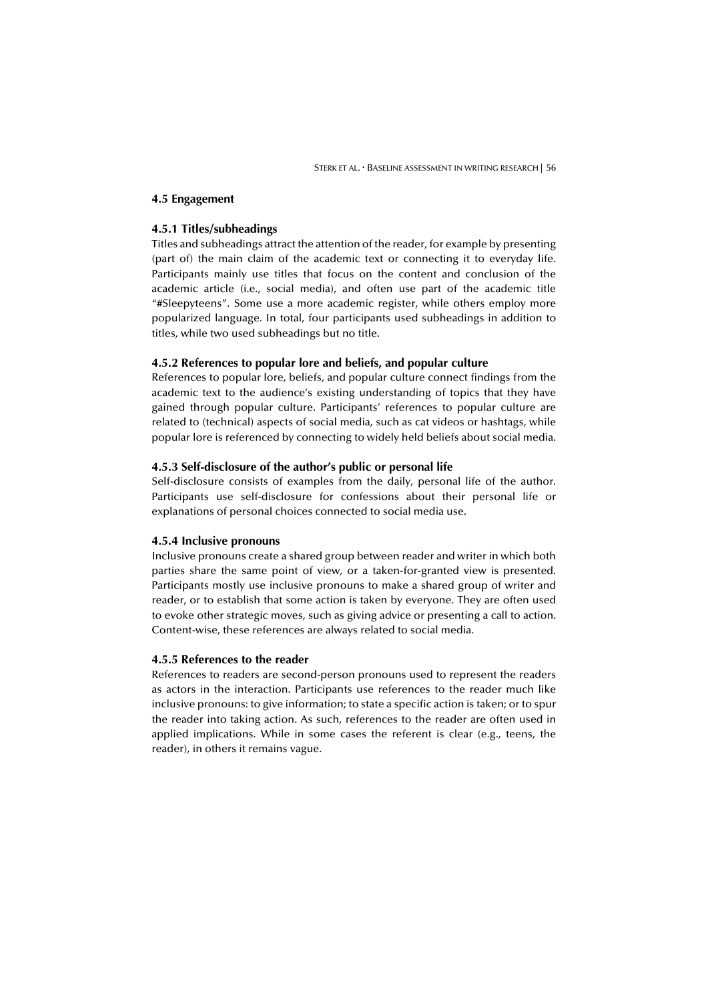## **4.5 Engagement**

#### **4.5.1 Titles/subheadings**

Titles and subheadings attract the attention of the reader, for example by presenting (part of) the main claim of the academic text or connecting it to everyday life. Participants mainly use titles that focus on the content and conclusion of the academic article (i.e., social media), and often use part of the academic title "#Sleepyteens". Some use a more academic register, while others employ more popularized language. In total, four participants used subheadings in addition to titles, while two used subheadings but no title.

#### **4.5.2 References to popular lore and beliefs, and popular culture**

References to popular lore, beliefs, and popular culture connect findings from the academic text to the audience's existing understanding of topics that they have gained through popular culture. Participants' references to popular culture are related to (technical) aspects of social media, such as cat videos or hashtags, while popular lore is referenced by connecting to widely held beliefs about social media.

## **4.5.3 Self-disclosure of the author's public or personal life**

Self-disclosure consists of examples from the daily, personal life of the author. Participants use self-disclosure for confessions about their personal life or explanations of personal choices connected to social media use.

## **4.5.4 Inclusive pronouns**

Inclusive pronouns create a shared group between reader and writer in which both parties share the same point of view, or a taken-for-granted view is presented. Participants mostly use inclusive pronouns to make a shared group of writer and reader, or to establish that some action is taken by everyone. They are often used to evoke other strategic moves, such as giving advice or presenting a call to action. Content-wise, these references are always related to social media.

#### **4.5.5 References to the reader**

References to readers are second-person pronouns used to represent the readers as actors in the interaction. Participants use references to the reader much like inclusive pronouns: to give information; to state a specific action is taken; or to spur the reader into taking action. As such, references to the reader are often used in applied implications. While in some cases the referent is clear (e.g., teens, the reader), in others it remains vague.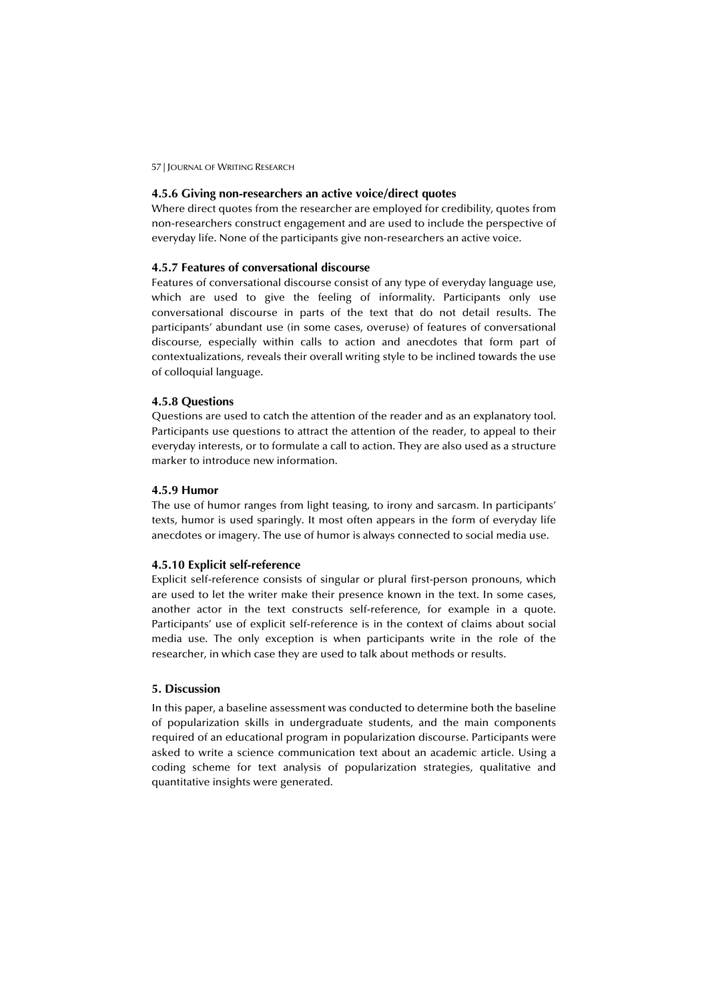#### **4.5.6 Giving non-researchers an active voice/direct quotes**

Where direct quotes from the researcher are employed for credibility, quotes from non-researchers construct engagement and are used to include the perspective of everyday life. None of the participants give non-researchers an active voice.

## **4.5.7 Features of conversational discourse**

Features of conversational discourse consist of any type of everyday language use, which are used to give the feeling of informality. Participants only use conversational discourse in parts of the text that do not detail results. The participants' abundant use (in some cases, overuse) of features of conversational discourse, especially within calls to action and anecdotes that form part of contextualizations, reveals their overall writing style to be inclined towards the use of colloquial language.

#### **4.5.8 Questions**

Questions are used to catch the attention of the reader and as an explanatory tool. Participants use questions to attract the attention of the reader, to appeal to their everyday interests, or to formulate a call to action. They are also used as a structure marker to introduce new information.

## **4.5.9 Humor**

The use of humor ranges from light teasing, to irony and sarcasm. In participants' texts, humor is used sparingly. It most often appears in the form of everyday life anecdotes or imagery. The use of humor is always connected to social media use.

#### **4.5.10 Explicit self-reference**

Explicit self-reference consists of singular or plural first-person pronouns, which are used to let the writer make their presence known in the text. In some cases, another actor in the text constructs self-reference, for example in a quote. Participants' use of explicit self-reference is in the context of claims about social media use. The only exception is when participants write in the role of the researcher, in which case they are used to talk about methods or results.

## **5. Discussion**

In this paper, a baseline assessment was conducted to determine both the baseline of popularization skills in undergraduate students, and the main components required of an educational program in popularization discourse. Participants were asked to write a science communication text about an academic article. Using a coding scheme for text analysis of popularization strategies, qualitative and quantitative insights were generated.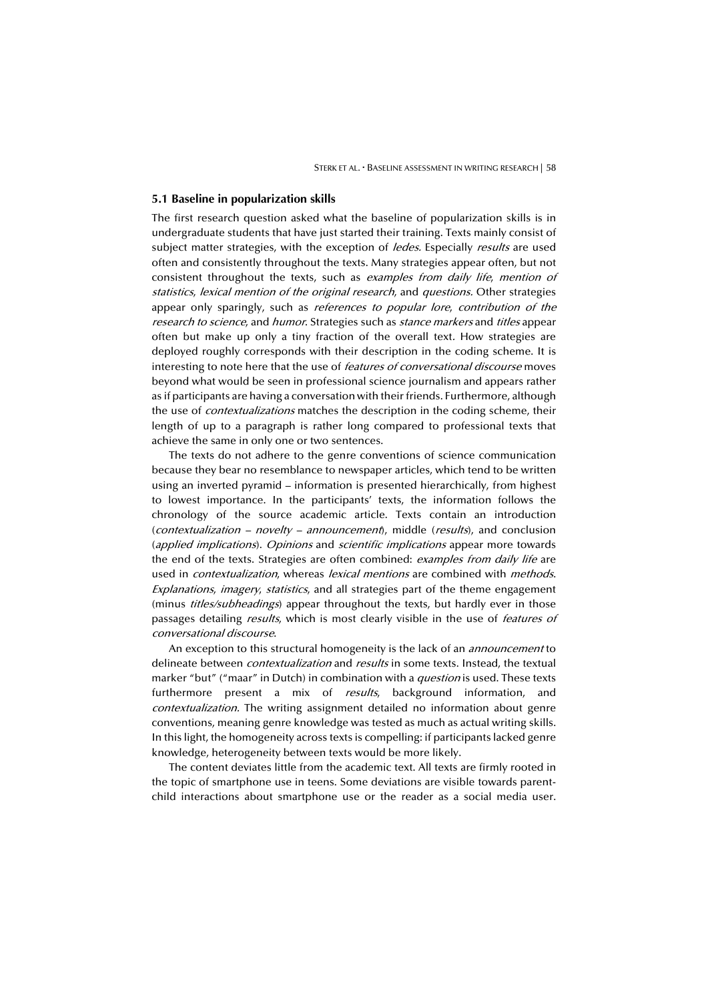#### **5.1 Baseline in popularization skills**

The first research question asked what the baseline of popularization skills is in undergraduate students that have just started their training. Texts mainly consist of subject matter strategies, with the exception of ledes. Especially results are used often and consistently throughout the texts. Many strategies appear often, but not consistent throughout the texts, such as examples from daily life, mention of statistics, lexical mention of the original research, and questions. Other strategies appear only sparingly, such as *references to popular lore, contribution of the* research to science, and humor. Strategies such as stance markers and titles appear often but make up only a tiny fraction of the overall text. How strategies are deployed roughly corresponds with their description in the coding scheme. It is interesting to note here that the use of *features of conversational discourse* moves beyond what would be seen in professional science journalism and appears rather as if participants are having a conversation with their friends. Furthermore, although the use of *contextualizations* matches the description in the coding scheme, their length of up to a paragraph is rather long compared to professional texts that achieve the same in only one or two sentences.

The texts do not adhere to the genre conventions of science communication because they bear no resemblance to newspaper articles, which tend to be written using an inverted pyramid – information is presented hierarchically, from highest to lowest importance. In the participants' texts, the information follows the chronology of the source academic article. Texts contain an introduction (contextualization – novelty – announcement), middle (results), and conclusion (applied implications). Opinions and scientific implications appear more towards the end of the texts. Strategies are often combined: *examples from daily life* are used in *contextualization*, whereas lexical mentions are combined with methods. Explanations, imagery, statistics, and all strategies part of the theme engagement (minus titles/subheadings) appear throughout the texts, but hardly ever in those passages detailing *results*, which is most clearly visible in the use of *features of* conversational discourse.

An exception to this structural homogeneity is the lack of an *announcement* to delineate between *contextualization* and *results* in some texts. Instead, the textual marker "but" ("maar" in Dutch) in combination with a *question* is used. These texts furthermore present a mix of *results*, background information, and contextualization. The writing assignment detailed no information about genre conventions, meaning genre knowledge was tested as much as actual writing skills. In this light, the homogeneity across texts is compelling: if participants lacked genre knowledge, heterogeneity between texts would be more likely.

The content deviates little from the academic text. All texts are firmly rooted in the topic of smartphone use in teens. Some deviations are visible towards parentchild interactions about smartphone use or the reader as a social media user.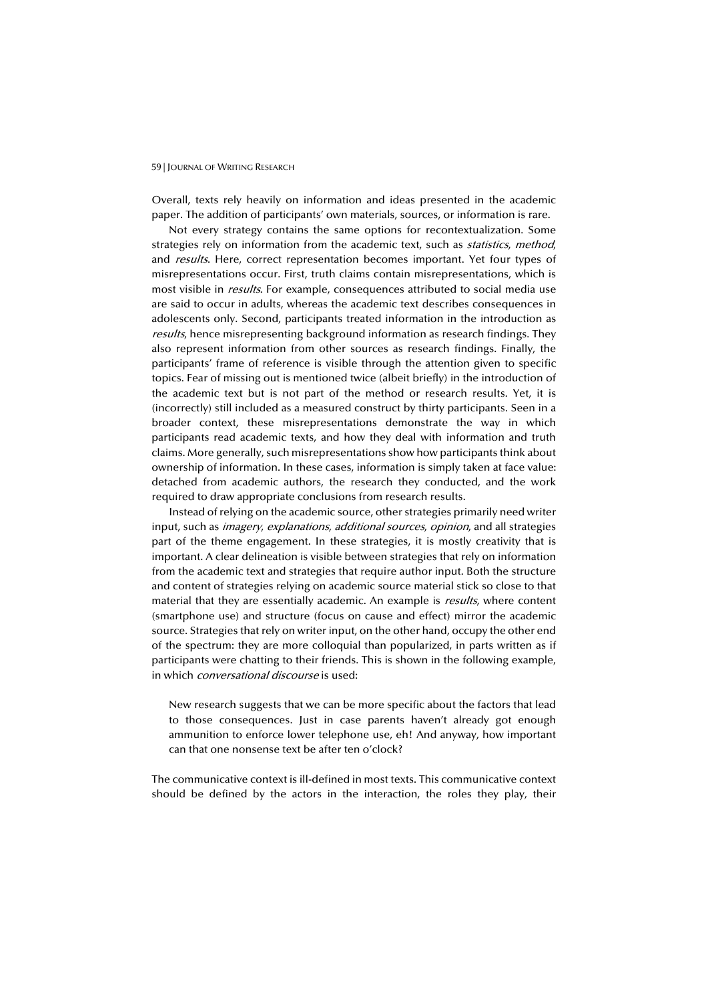Overall, texts rely heavily on information and ideas presented in the academic paper. The addition of participants' own materials, sources, or information is rare.

Not every strategy contains the same options for recontextualization. Some strategies rely on information from the academic text, such as *statistics*, method, and *results*. Here, correct representation becomes important. Yet four types of misrepresentations occur. First, truth claims contain misrepresentations, which is most visible in *results*. For example, consequences attributed to social media use are said to occur in adults, whereas the academic text describes consequences in adolescents only. Second, participants treated information in the introduction as results, hence misrepresenting background information as research findings. They also represent information from other sources as research findings. Finally, the participants' frame of reference is visible through the attention given to specific topics. Fear of missing out is mentioned twice (albeit briefly) in the introduction of the academic text but is not part of the method or research results. Yet, it is (incorrectly) still included as a measured construct by thirty participants. Seen in a broader context, these misrepresentations demonstrate the way in which participants read academic texts, and how they deal with information and truth claims. More generally, such misrepresentations show how participants think about ownership of information. In these cases, information is simply taken at face value: detached from academic authors, the research they conducted, and the work required to draw appropriate conclusions from research results.

Instead of relying on the academic source, other strategies primarily need writer input, such as *imagery, explanations, additional sources, opinion*, and all strategies part of the theme engagement. In these strategies, it is mostly creativity that is important. A clear delineation is visible between strategies that rely on information from the academic text and strategies that require author input. Both the structure and content of strategies relying on academic source material stick so close to that material that they are essentially academic. An example is *results*, where content (smartphone use) and structure (focus on cause and effect) mirror the academic source. Strategies that rely on writer input, on the other hand, occupy the other end of the spectrum: they are more colloquial than popularized, in parts written as if participants were chatting to their friends. This is shown in the following example, in which *conversational discourse* is used:

New research suggests that we can be more specific about the factors that lead to those consequences. Just in case parents haven't already got enough ammunition to enforce lower telephone use, eh! And anyway, how important can that one nonsense text be after ten o'clock?

The communicative context is ill-defined in most texts. This communicative context should be defined by the actors in the interaction, the roles they play, their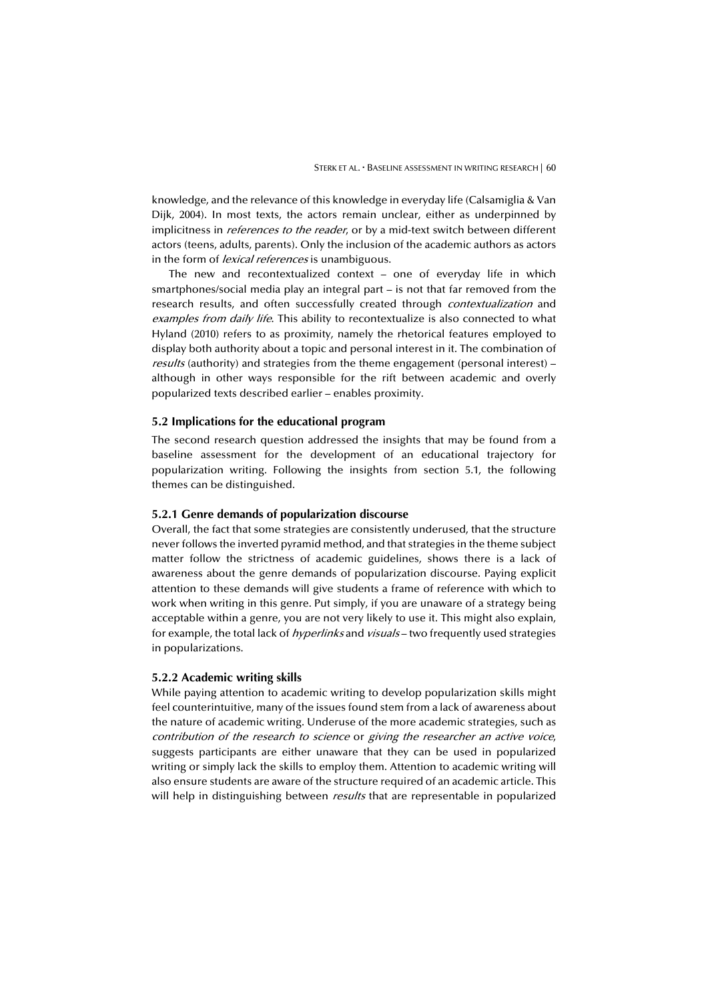knowledge, and the relevance of this knowledge in everyday life (Calsamiglia & Van Dijk, 2004). In most texts, the actors remain unclear, either as underpinned by implicitness in *references to the reader*, or by a mid-text switch between different actors (teens, adults, parents). Only the inclusion of the academic authors as actors in the form of *lexical references* is unambiguous.

The new and recontextualized context – one of everyday life in which smartphones/social media play an integral part – is not that far removed from the research results, and often successfully created through *contextualization* and examples from daily life. This ability to recontextualize is also connected to what Hyland (2010) refers to as proximity, namely the rhetorical features employed to display both authority about a topic and personal interest in it. The combination of results (authority) and strategies from the theme engagement (personal interest) – although in other ways responsible for the rift between academic and overly popularized texts described earlier – enables proximity.

## **5.2 Implications for the educational program**

The second research question addressed the insights that may be found from a baseline assessment for the development of an educational trajectory for popularization writing. Following the insights from section 5.1, the following themes can be distinguished.

## **5.2.1 Genre demands of popularization discourse**

Overall, the fact that some strategies are consistently underused, that the structure never follows the inverted pyramid method, and that strategies in the theme subject matter follow the strictness of academic guidelines, shows there is a lack of awareness about the genre demands of popularization discourse. Paying explicit attention to these demands will give students a frame of reference with which to work when writing in this genre. Put simply, if you are unaware of a strategy being acceptable within a genre, you are not very likely to use it. This might also explain, for example, the total lack of *hyperlinks* and *visuals* – two frequently used strategies in popularizations.

#### **5.2.2 Academic writing skills**

While paying attention to academic writing to develop popularization skills might feel counterintuitive, many of the issues found stem from a lack of awareness about the nature of academic writing. Underuse of the more academic strategies, such as contribution of the research to science or giving the researcher an active voice, suggests participants are either unaware that they can be used in popularized writing or simply lack the skills to employ them. Attention to academic writing will also ensure students are aware of the structure required of an academic article. This will help in distinguishing between *results* that are representable in popularized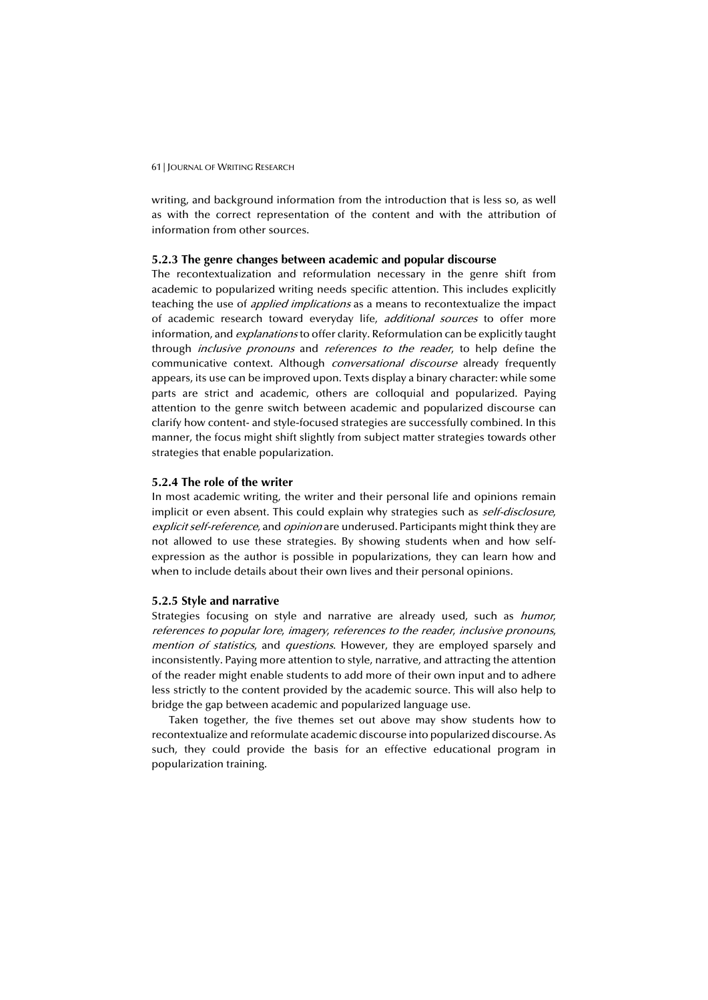writing, and background information from the introduction that is less so, as well as with the correct representation of the content and with the attribution of information from other sources.

#### **5.2.3 The genre changes between academic and popular discourse**

The recontextualization and reformulation necessary in the genre shift from academic to popularized writing needs specific attention. This includes explicitly teaching the use of *applied implications* as a means to recontextualize the impact of academic research toward everyday life, *additional sources* to offer more information, and *explanations* to offer clarity. Reformulation can be explicitly taught through *inclusive pronouns* and *references to the reader*, to help define the communicative context. Although *conversational discourse* already frequently appears, its use can be improved upon. Texts display a binary character: while some parts are strict and academic, others are colloquial and popularized. Paying attention to the genre switch between academic and popularized discourse can clarify how content- and style-focused strategies are successfully combined. In this manner, the focus might shift slightly from subject matter strategies towards other strategies that enable popularization.

#### **5.2.4 The role of the writer**

In most academic writing, the writer and their personal life and opinions remain implicit or even absent. This could explain why strategies such as *self-disclosure*, explicit self-reference, and opinion are underused. Participants might think they are not allowed to use these strategies. By showing students when and how selfexpression as the author is possible in popularizations, they can learn how and when to include details about their own lives and their personal opinions.

## **5.2.5 Style and narrative**

Strategies focusing on style and narrative are already used, such as humor, references to popular lore, imagery, references to the reader, inclusive pronouns, mention of statistics, and questions. However, they are employed sparsely and inconsistently. Paying more attention to style, narrative, and attracting the attention of the reader might enable students to add more of their own input and to adhere less strictly to the content provided by the academic source. This will also help to bridge the gap between academic and popularized language use.

Taken together, the five themes set out above may show students how to recontextualize and reformulate academic discourse into popularized discourse. As such, they could provide the basis for an effective educational program in popularization training.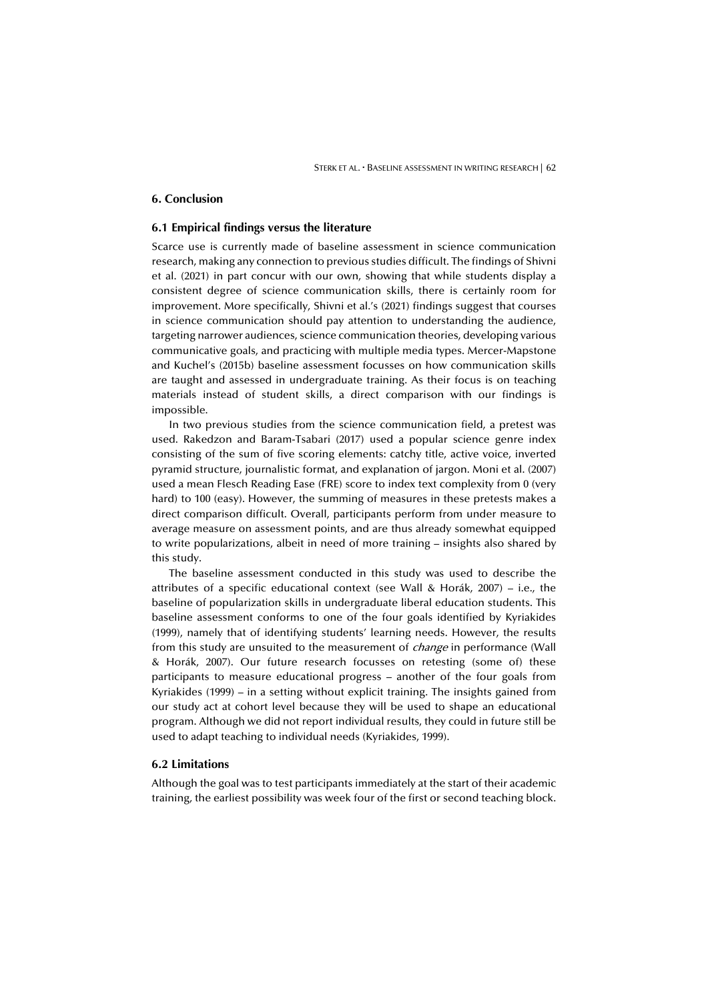## **6. Conclusion**

## **6.1 Empirical findings versus the literature**

Scarce use is currently made of baseline assessment in science communication research, making any connection to previous studies difficult. The findings of Shivni et al. (2021) in part concur with our own, showing that while students display a consistent degree of science communication skills, there is certainly room for improvement. More specifically, Shivni et al.'s (2021) findings suggest that courses in science communication should pay attention to understanding the audience, targeting narrower audiences, science communication theories, developing various communicative goals, and practicing with multiple media types. Mercer-Mapstone and Kuchel's (2015b) baseline assessment focusses on how communication skills are taught and assessed in undergraduate training. As their focus is on teaching materials instead of student skills, a direct comparison with our findings is impossible.

In two previous studies from the science communication field, a pretest was used. Rakedzon and Baram-Tsabari (2017) used a popular science genre index consisting of the sum of five scoring elements: catchy title, active voice, inverted pyramid structure, journalistic format, and explanation of jargon. Moni et al. (2007) used a mean Flesch Reading Ease (FRE) score to index text complexity from 0 (very hard) to 100 (easy). However, the summing of measures in these pretests makes a direct comparison difficult. Overall, participants perform from under measure to average measure on assessment points, and are thus already somewhat equipped to write popularizations, albeit in need of more training – insights also shared by this study.

The baseline assessment conducted in this study was used to describe the attributes of a specific educational context (see Wall & Horák, 2007) – i.e., the baseline of popularization skills in undergraduate liberal education students. This baseline assessment conforms to one of the four goals identified by Kyriakides (1999), namely that of identifying students' learning needs. However, the results from this study are unsuited to the measurement of *change* in performance (Wall & Horák, 2007). Our future research focusses on retesting (some of) these participants to measure educational progress – another of the four goals from Kyriakides (1999) – in a setting without explicit training. The insights gained from our study act at cohort level because they will be used to shape an educational program. Although we did not report individual results, they could in future still be used to adapt teaching to individual needs (Kyriakides, 1999).

#### **6.2 Limitations**

Although the goal was to test participants immediately at the start of their academic training, the earliest possibility was week four of the first or second teaching block.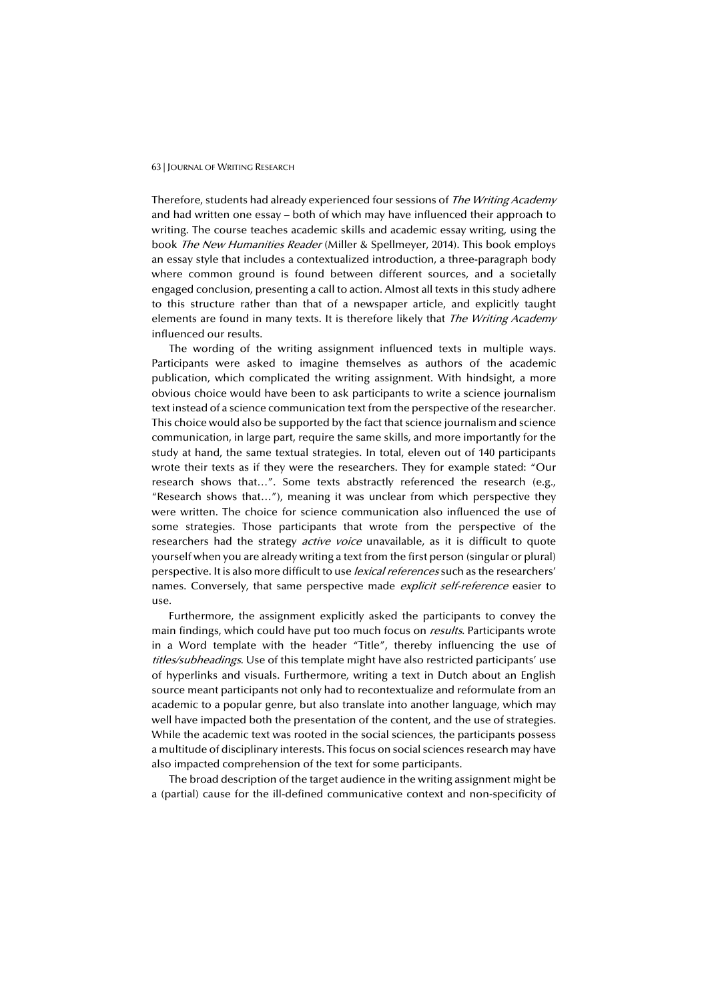Therefore, students had already experienced four sessions of The Writing Academy and had written one essay – both of which may have influenced their approach to writing. The course teaches academic skills and academic essay writing, using the book The New Humanities Reader (Miller & Spellmeyer, 2014). This book employs an essay style that includes a contextualized introduction, a three-paragraph body where common ground is found between different sources, and a societally engaged conclusion, presenting a call to action. Almost all texts in this study adhere to this structure rather than that of a newspaper article, and explicitly taught elements are found in many texts. It is therefore likely that *The Writing Academy* influenced our results.

The wording of the writing assignment influenced texts in multiple ways. Participants were asked to imagine themselves as authors of the academic publication, which complicated the writing assignment. With hindsight, a more obvious choice would have been to ask participants to write a science journalism text instead of a science communication text from the perspective of the researcher. This choice would also be supported by the fact that science journalism and science communication, in large part, require the same skills, and more importantly for the study at hand, the same textual strategies. In total, eleven out of 140 participants wrote their texts as if they were the researchers. They for example stated: "Our research shows that…". Some texts abstractly referenced the research (e.g., "Research shows that…"), meaning it was unclear from which perspective they were written. The choice for science communication also influenced the use of some strategies. Those participants that wrote from the perspective of the researchers had the strategy *active voice* unavailable, as it is difficult to quote yourself when you are already writing a text from the first person (singular or plural) perspective. It is also more difficult to use *lexical references* such as the researchers' names. Conversely, that same perspective made *explicit self-reference* easier to use.

Furthermore, the assignment explicitly asked the participants to convey the main findings, which could have put too much focus on *results*. Participants wrote in a Word template with the header "Title", thereby influencing the use of titles/subheadings. Use of this template might have also restricted participants' use of hyperlinks and visuals. Furthermore, writing a text in Dutch about an English source meant participants not only had to recontextualize and reformulate from an academic to a popular genre, but also translate into another language, which may well have impacted both the presentation of the content, and the use of strategies. While the academic text was rooted in the social sciences, the participants possess a multitude of disciplinary interests. This focus on social sciences research may have also impacted comprehension of the text for some participants.

The broad description of the target audience in the writing assignment might be a (partial) cause for the ill-defined communicative context and non-specificity of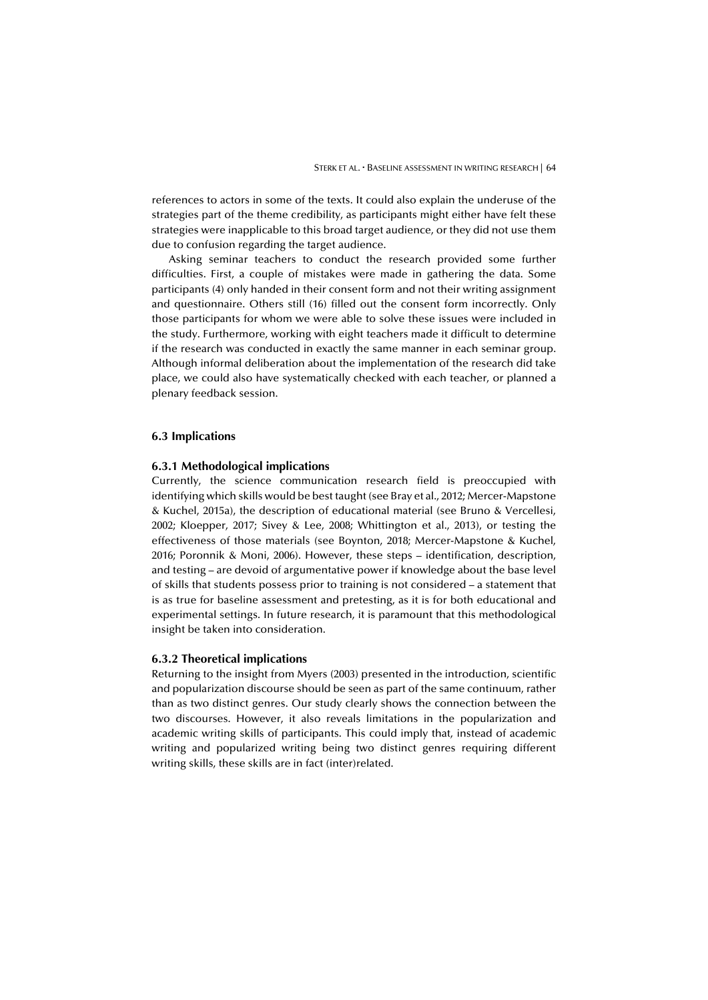references to actors in some of the texts. It could also explain the underuse of the strategies part of the theme credibility, as participants might either have felt these strategies were inapplicable to this broad target audience, or they did not use them due to confusion regarding the target audience.

Asking seminar teachers to conduct the research provided some further difficulties. First, a couple of mistakes were made in gathering the data. Some participants (4) only handed in their consent form and not their writing assignment and questionnaire. Others still (16) filled out the consent form incorrectly. Only those participants for whom we were able to solve these issues were included in the study. Furthermore, working with eight teachers made it difficult to determine if the research was conducted in exactly the same manner in each seminar group. Although informal deliberation about the implementation of the research did take place, we could also have systematically checked with each teacher, or planned a plenary feedback session.

#### **6.3 Implications**

#### **6.3.1 Methodological implications**

Currently, the science communication research field is preoccupied with identifying which skills would be best taught (see Bray et al., 2012; Mercer-Mapstone & Kuchel, 2015a), the description of educational material (see Bruno & Vercellesi, 2002; Kloepper, 2017; Sivey & Lee, 2008; Whittington et al., 2013), or testing the effectiveness of those materials (see Boynton, 2018; Mercer-Mapstone & Kuchel, 2016; Poronnik & Moni, 2006). However, these steps – identification, description, and testing – are devoid of argumentative power if knowledge about the base level of skills that students possess prior to training is not considered – a statement that is as true for baseline assessment and pretesting, as it is for both educational and experimental settings. In future research, it is paramount that this methodological insight be taken into consideration.

#### **6.3.2 Theoretical implications**

Returning to the insight from Myers (2003) presented in the introduction, scientific and popularization discourse should be seen as part of the same continuum, rather than as two distinct genres. Our study clearly shows the connection between the two discourses. However, it also reveals limitations in the popularization and academic writing skills of participants. This could imply that, instead of academic writing and popularized writing being two distinct genres requiring different writing skills, these skills are in fact (inter)related.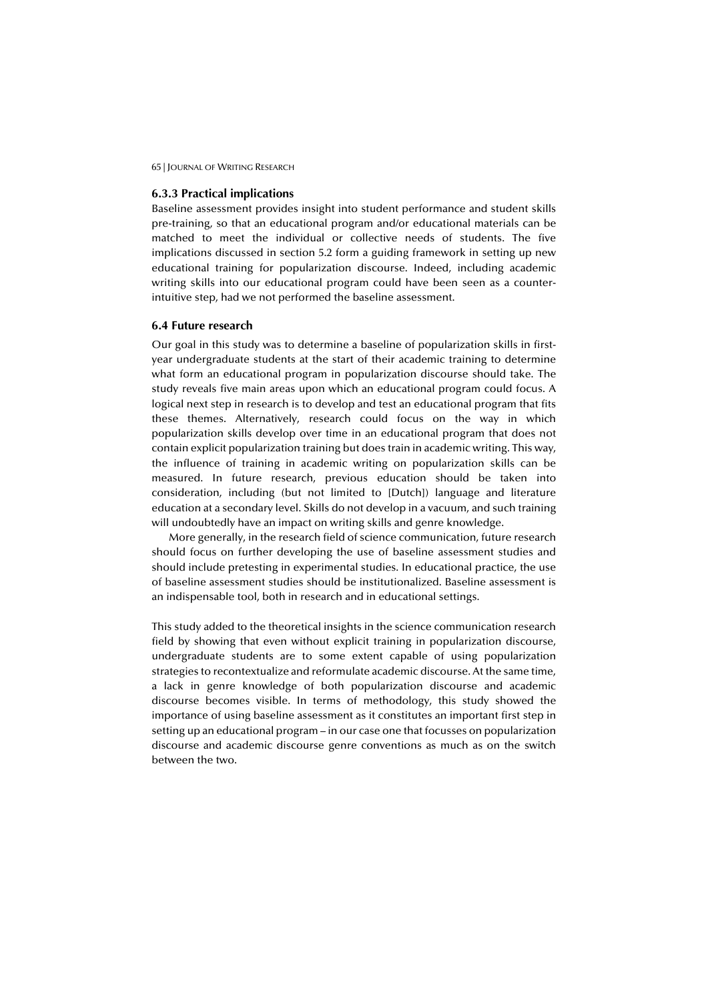#### **6.3.3 Practical implications**

Baseline assessment provides insight into student performance and student skills pre-training, so that an educational program and/or educational materials can be matched to meet the individual or collective needs of students. The five implications discussed in section 5.2 form a guiding framework in setting up new educational training for popularization discourse. Indeed, including academic writing skills into our educational program could have been seen as a counterintuitive step, had we not performed the baseline assessment.

#### **6.4 Future research**

Our goal in this study was to determine a baseline of popularization skills in firstyear undergraduate students at the start of their academic training to determine what form an educational program in popularization discourse should take. The study reveals five main areas upon which an educational program could focus. A logical next step in research is to develop and test an educational program that fits these themes. Alternatively, research could focus on the way in which popularization skills develop over time in an educational program that does not contain explicit popularization training but does train in academic writing. This way, the influence of training in academic writing on popularization skills can be measured. In future research, previous education should be taken into consideration, including (but not limited to [Dutch]) language and literature education at a secondary level. Skills do not develop in a vacuum, and such training will undoubtedly have an impact on writing skills and genre knowledge.

More generally, in the research field of science communication, future research should focus on further developing the use of baseline assessment studies and should include pretesting in experimental studies. In educational practice, the use of baseline assessment studies should be institutionalized. Baseline assessment is an indispensable tool, both in research and in educational settings.

This study added to the theoretical insights in the science communication research field by showing that even without explicit training in popularization discourse, undergraduate students are to some extent capable of using popularization strategies to recontextualize and reformulate academic discourse. At the same time, a lack in genre knowledge of both popularization discourse and academic discourse becomes visible. In terms of methodology, this study showed the importance of using baseline assessment as it constitutes an important first step in setting up an educational program – in our case one that focusses on popularization discourse and academic discourse genre conventions as much as on the switch between the two.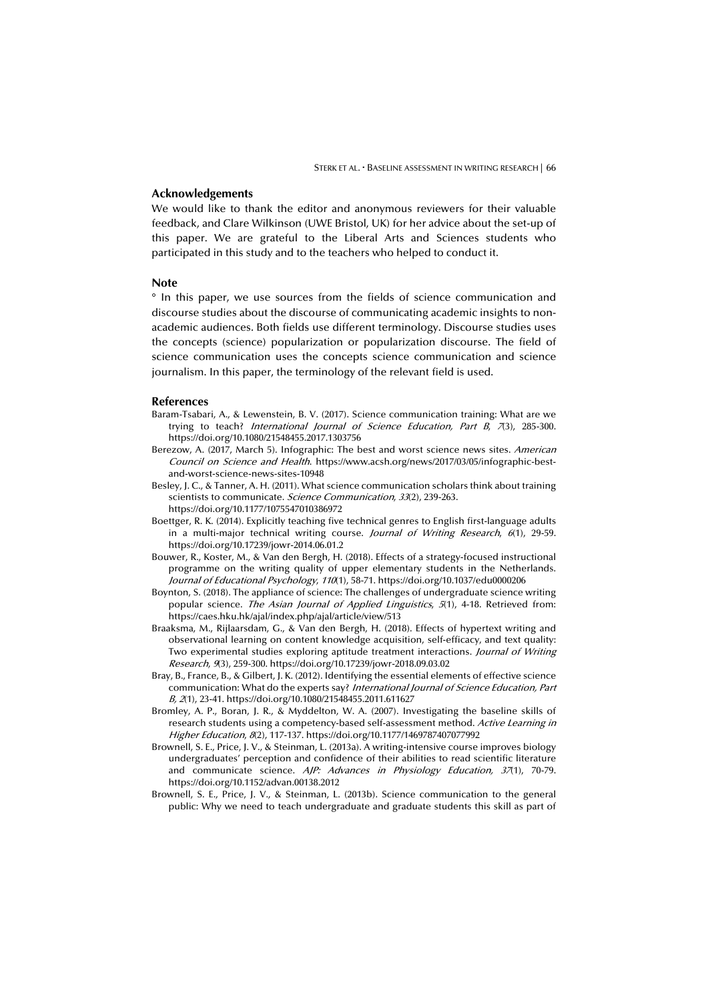## **Acknowledgements**

We would like to thank the editor and anonymous reviewers for their valuable feedback, and Clare Wilkinson (UWE Bristol, UK) for her advice about the set-up of this paper. We are grateful to the Liberal Arts and Sciences students who participated in this study and to the teachers who helped to conduct it.

#### **Note**

° In this paper, we use sources from the fields of science communication and discourse studies about the discourse of communicating academic insights to nonacademic audiences. Both fields use different terminology. Discourse studies uses the concepts (science) popularization or popularization discourse. The field of science communication uses the concepts science communication and science journalism. In this paper, the terminology of the relevant field is used.

#### **References**

- Baram-Tsabari, A., & Lewenstein, B. V. (2017). Science communication training: What are we trying to teach? International Journal of Science Education, Part  $B$ ,  $7(3)$ , 285-300. https://doi.org/10.1080/21548455.2017.1303756
- Berezow, A. (2017, March 5). Infographic: The best and worst science news sites. American Council on Science and Health. https://www.acsh.org/news/2017/03/05/infographic-bestand-worst-science-news-sites-10948
- Besley, J. C., & Tanner, A. H. (2011). What science communication scholars think about training scientists to communicate. Science Communication, 33(2), 239-263. https://doi.org/10.1177/1075547010386972
- Boettger, R. K. (2014). Explicitly teaching five technical genres to English first-language adults in a multi-major technical writing course. *Journal of Writing Research*,  $6(1)$ , 29-59. https://doi.org/10.17239/jowr-2014.06.01.2
- Bouwer, R., Koster, M., & Van den Bergh, H. (2018). Effects of a strategy-focused instructional programme on the writing quality of upper elementary students in the Netherlands. Journal of Educational Psychology, 110(1), 58-71. https://doi.org/10.1037/edu0000206
- Boynton, S. (2018). The appliance of science: The challenges of undergraduate science writing popular science. The Asian Journal of Applied Linguistics, 5(1), 4-18. Retrieved from: https://caes.hku.hk/ajal/index.php/ajal/article/view/513
- Braaksma, M., Rijlaarsdam, G., & Van den Bergh, H. (2018). Effects of hypertext writing and observational learning on content knowledge acquisition, self-efficacy, and text quality: Two experimental studies exploring aptitude treatment interactions. Journal of Writing Research, 9(3), 259-300. https://doi.org/10.17239/jowr-2018.09.03.02
- Bray, B., France, B., & Gilbert, J. K. (2012). Identifying the essential elements of effective science communication: What do the experts say? International Journal of Science Education, Part B, <sup>2</sup>(1), 23-41. https://doi.org/10.1080/21548455.2011.611627
- Bromley, A. P., Boran, J. R., & Myddelton, W. A. (2007). Investigating the baseline skills of research students using a competency-based self-assessment method. Active Learning in Higher Education, 8(2), 117-137. https://doi.org/10.1177/1469787407077992
- Brownell, S. E., Price, J. V., & Steinman, L. (2013a). A writing-intensive course improves biology undergraduates' perception and confidence of their abilities to read scientific literature and communicate science.  $A/P$ : Advances in Physiology Education,  $37(1)$ , 70-79. https://doi.org/10.1152/advan.00138.2012
- Brownell, S. E., Price, J. V., & Steinman, L. (2013b). Science communication to the general public: Why we need to teach undergraduate and graduate students this skill as part of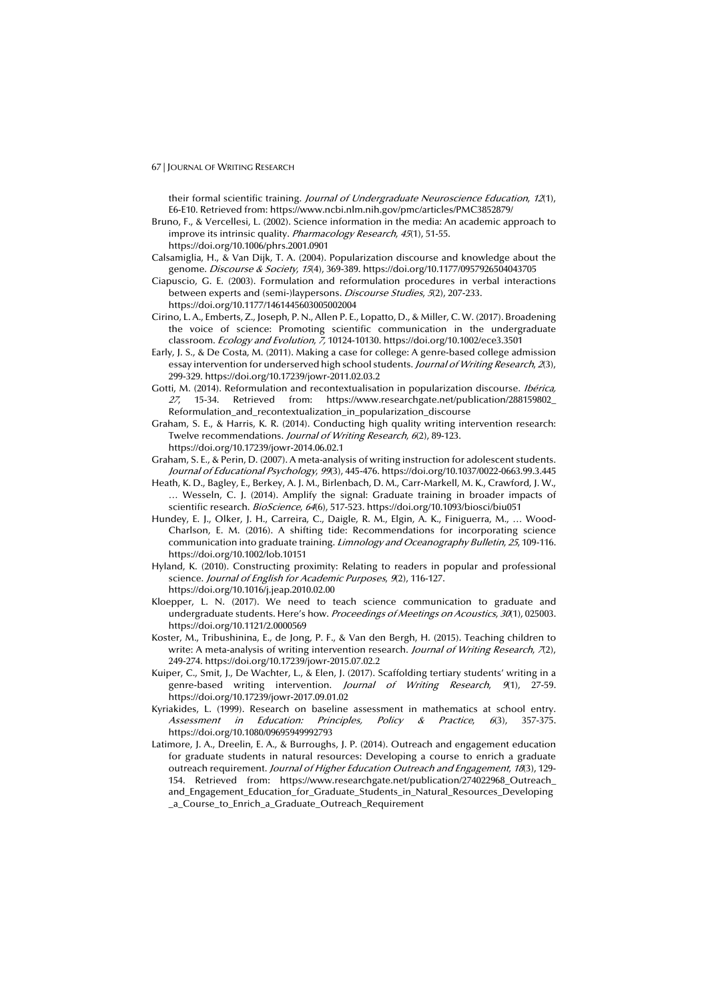their formal scientific training. Journal of Undergraduate Neuroscience Education, 12(1), E6-E10. Retrieved from: https://www.ncbi.nlm.nih.gov/pmc/articles/PMC3852879/

Bruno, F., & Vercellesi, L. (2002). Science information in the media: An academic approach to improve its intrinsic quality. *Pharmacology Research*, 45(1), 51-55. https://doi.org/10.1006/phrs.2001.0901

Calsamiglia, H., & Van Dijk, T. A. (2004). Popularization discourse and knowledge about the genome. Discourse & Society, 15(4), 369-389. https://doi.org/10.1177/0957926504043705

Ciapuscio, G. E. (2003). Formulation and reformulation procedures in verbal interactions between experts and (semi-)laypersons. Discourse Studies, 5(2), 207-233. https://doi.org/10.1177/1461445603005002004

- Cirino, L. A., Emberts, Z., Joseph, P. N., Allen P. E., Lopatto, D., & Miller, C. W. (2017). Broadening the voice of science: Promoting scientific communication in the undergraduate classroom. Ecology and Evolution, 7, 10124-10130. https://doi.org/10.1002/ece3.3501
- Early, J. S., & De Costa, M. (2011). Making a case for college: A genre-based college admission essay intervention for underserved high school students. Journal of Writing Research, 2(3), 299-329. https://doi.org/10.17239/jowr-2011.02.03.2

Gotti, M. (2014). Reformulation and recontextualisation in popularization discourse. Ibérica, <sup>27</sup>, 15-34. Retrieved from: https://www.researchgate.net/publication/288159802\_ Reformulation\_and\_recontextualization\_in\_popularization\_discourse

Graham, S. E., & Harris, K. R. (2014). Conducting high quality writing intervention research: Twelve recommendations. Journal of Writing Research, 6(2), 89-123. https://doi.org/10.17239/jowr-2014.06.02.1

- Graham, S. E., & Perin, D. (2007). A meta-analysis of writing instruction for adolescent students. Journal of Educational Psychology, 99(3), 445-476. https://doi.org/10.1037/0022-0663.99.3.445
- Heath, K. D., Bagley, E., Berkey, A. J. M., Birlenbach, D. M., Carr-Markell, M. K., Crawford, J. W., … Wesseln, C. J. (2014). Amplify the signal: Graduate training in broader impacts of scientific research. BioScience, 64(6), 517-523. https://doi.org/10.1093/biosci/biu051
- Hundey, E. J., Olker, J. H., Carreira, C., Daigle, R. M., Elgin, A. K., Finiguerra, M., … Wood-Charlson, E. M. (2016). A shifting tide: Recommendations for incorporating science communication into graduate training. Limnology and Oceanography Bulletin, 25, 109-116. https://doi.org/10.1002/lob.10151

Hyland, K. (2010). Constructing proximity: Relating to readers in popular and professional science. Journal of English for Academic Purposes, 9(2), 116-127. https://doi.org/10.1016/j.jeap.2010.02.00

- Kloepper, L. N. (2017). We need to teach science communication to graduate and undergraduate students. Here's how. Proceedings of Meetings on Acoustics, 30(1), 025003. https://doi.org/10.1121/2.0000569
- Koster, M., Tribushinina, E., de Jong, P. F., & Van den Bergh, H. (2015). Teaching children to write: A meta-analysis of writing intervention research. Journal of Writing Research,  $(72)$ , 249-274. https://doi.org/10.17239/jowr-2015.07.02.2
- Kuiper, C., Smit, J., De Wachter, L., & Elen, J. (2017). Scaffolding tertiary students' writing in a genre-based writing intervention. *Journal of Writing Research*, 9(1), 27-59. https://doi.org/10.17239/jowr-2017.09.01.02
- Kyriakides, L. (1999). Research on baseline assessment in mathematics at school entry. Assessment in Education: Principles, Policy & Practice, 6(3), 357-375. https://doi.org/10.1080/09695949992793
- Latimore, J. A., Dreelin, E. A., & Burroughs, J. P. (2014). Outreach and engagement education for graduate students in natural resources: Developing a course to enrich a graduate outreach requirement. Journal of Higher Education Outreach and Engagement, 18(3), 129-154. Retrieved from: https://www.researchgate.net/publication/274022968\_Outreach\_ and\_Engagement\_Education\_for\_Graduate\_Students\_in\_Natural\_Resources\_Developing a Course to Enrich a Graduate Outreach Requirement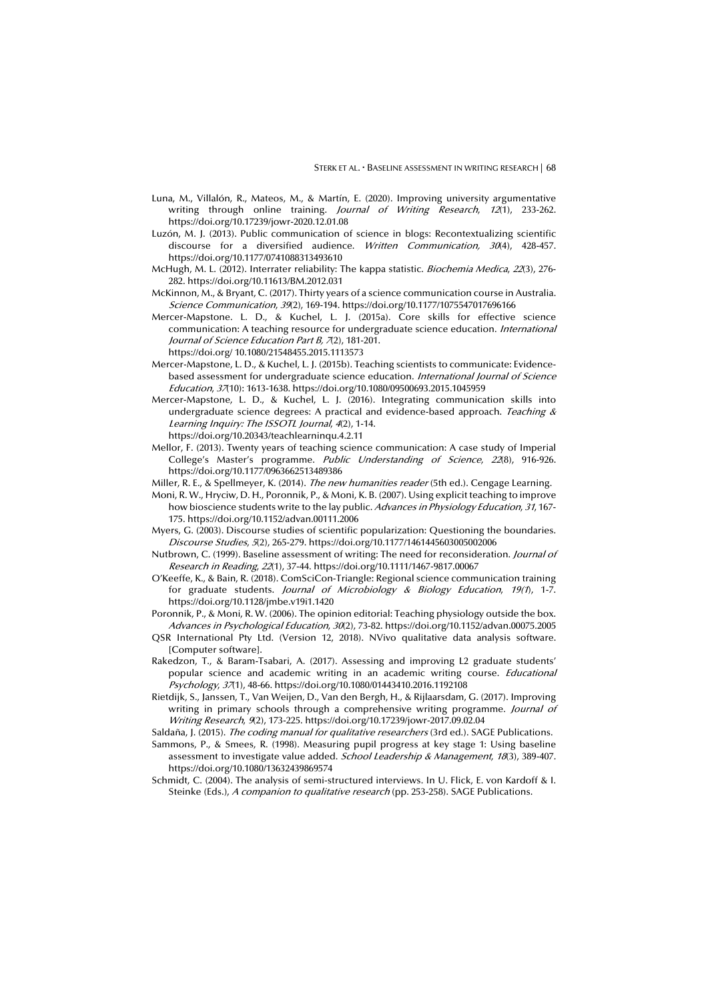- Luna, M., Villalón, R., Mateos, M., & Martín, E. (2020). Improving university argumentative writing through online training. Journal of Writing Research, 12(1), 233-262. https://doi.org/10.17239/jowr-2020.12.01.08
- Luzón, M. J. (2013). Public communication of science in blogs: Recontextualizing scientific discourse for a diversified audience. Written Communication, 30(4), 428-457. https://doi.org/10.1177/0741088313493610
- McHugh, M. L. (2012). Interrater reliability: The kappa statistic. Biochemia Medica, 22(3), 276- 282. https://doi.org/10.11613/BM.2012.031
- McKinnon, M., & Bryant, C. (2017). Thirty years of a science communication course in Australia. Science Communication, 39(2), 169-194. https://doi.org/10.1177/1075547017696166
- Mercer-Mapstone. L. D., & Kuchel, L. J. (2015a). Core skills for effective science communication: A teaching resource for undergraduate science education. International **Journal of Science Education Part B, 7(2), 181-201.** 
	- https://doi.org/ 10.1080/21548455.2015.1113573
- Mercer-Mapstone, L. D., & Kuchel, L. J. (2015b). Teaching scientists to communicate: Evidencebased assessment for undergraduate science education. International Journal of Science Education, 37(10): 1613-1638. https://doi.org/10.1080/09500693.2015.1045959
- Mercer-Mapstone, L. D., & Kuchel, L. J. (2016). Integrating communication skills into undergraduate science degrees: A practical and evidence-based approach. Teaching  $\&$ Learning Inquiry: The ISSOTL Journal, 4(2), 1-14. https://doi.org/10.20343/teachlearninqu.4.2.11
- Mellor, F. (2013). Twenty years of teaching science communication: A case study of Imperial College's Master's programme. Public Understanding of Science, 22(8), 916-926. https://doi.org/10.1177/0963662513489386
- Miller, R. E., & Spellmeyer, K. (2014). The new humanities reader (5th ed.). Cengage Learning.
- Moni, R. W., Hryciw, D. H., Poronnik, P., & Moni, K. B. (2007). Using explicit teaching to improve how bioscience students write to the lay public. Advances in Physiology Education, 31, 167-175. https://doi.org/10.1152/advan.00111.2006
- Myers, G. (2003). Discourse studies of scientific popularization: Questioning the boundaries. Discourse Studies, 5(2), 265-279. https://doi.org/10.1177/1461445603005002006
- Nutbrown, C. (1999). Baseline assessment of writing: The need for reconsideration. Journal of Research in Reading, 22(1), 37-44. https://doi.org/10.1111/1467-9817.00067
- O'Keeffe, K., & Bain, R. (2018). ComSciCon-Triangle: Regional science communication training for graduate students. Journal of Microbiology & Biology Education, 19(1), 1-7. https://doi.org/10.1128/jmbe.v19i1.1420

Poronnik, P., & Moni, R. W. (2006). The opinion editorial: Teaching physiology outside the box. Advances in Psychological Education, 30(2), 73-82. https://doi.org/10.1152/advan.00075.2005

- QSR International Pty Ltd. (Version 12, 2018). NVivo qualitative data analysis software. [Computer software].
- Rakedzon, T., & Baram-Tsabari, A. (2017). Assessing and improving L2 graduate students' popular science and academic writing in an academic writing course. *Educational* Psychology, 37(1), 48-66. https://doi.org/10.1080/01443410.2016.1192108
- Rietdijk, S., Janssen, T., Van Weijen, D., Van den Bergh, H., & Rijlaarsdam, G. (2017). Improving writing in primary schools through a comprehensive writing programme. Journal of Writing Research, 9(2), 173-225. https://doi.org/10.17239/jowr-2017.09.02.04

Saldaña, J. (2015). The coding manual for qualitative researchers (3rd ed.). SAGE Publications.

- Sammons, P., & Smees, R. (1998). Measuring pupil progress at key stage 1: Using baseline assessment to investigate value added. School Leadership & Management, 18(3), 389-407. https://doi.org/10.1080/13632439869574
- Schmidt, C. (2004). The analysis of semi-structured interviews. In U. Flick, E. von Kardoff & I. Steinke (Eds.), A companion to qualitative research (pp. 253-258). SAGE Publications.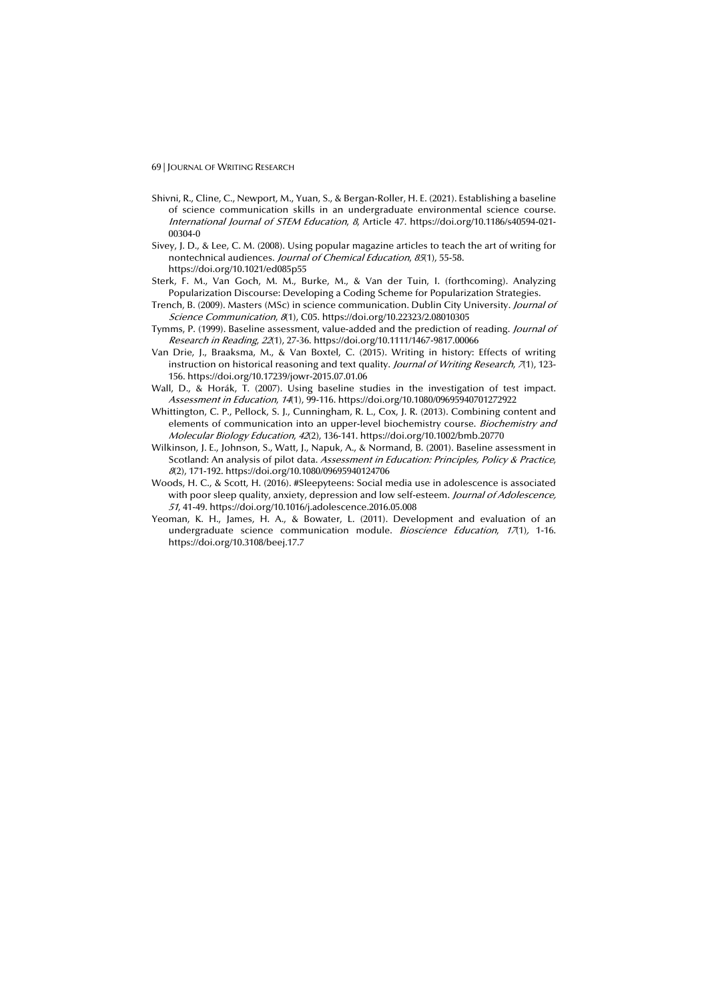- Shivni, R., Cline, C., Newport, M., Yuan, S., & Bergan-Roller, H. E. (2021). Establishing a baseline of science communication skills in an undergraduate environmental science course. International Journal of STEM Education, 8, Article 47. https://doi.org/10.1186/s40594-021- 00304-0
- Sivey, J. D., & Lee, C. M. (2008). Using popular magazine articles to teach the art of writing for nontechnical audiences. Journal of Chemical Education, 85(1), 55-58. https://doi.org/10.1021/ed085p55
- Sterk, F. M., Van Goch, M. M., Burke, M., & Van der Tuin, I. (forthcoming). Analyzing Popularization Discourse: Developing a Coding Scheme for Popularization Strategies.
- Trench, B. (2009). Masters (MSc) in science communication. Dublin City University. Journal of Science Communication, 8(1), C05. https://doi.org/10.22323/2.08010305
- Tymms, P. (1999). Baseline assessment, value-added and the prediction of reading. Journal of Research in Reading, 22(1), 27-36. https://doi.org/10.1111/1467-9817.00066
- Van Drie, J., Braaksma, M., & Van Boxtel, C. (2015). Writing in history: Effects of writing instruction on historical reasoning and text quality. Journal of Writing Research, 7(1), 123-156. https://doi.org/10.17239/jowr-2015.07.01.06
- Wall, D., & Horák, T. (2007). Using baseline studies in the investigation of test impact. Assessment in Education, 14(1), 99-116. https://doi.org/10.1080/09695940701272922
- Whittington, C. P., Pellock, S. J., Cunningham, R. L., Cox, J. R. (2013). Combining content and elements of communication into an upper-level biochemistry course. Biochemistry and Molecular Biology Education, 42(2), 136-141. https://doi.org/10.1002/bmb.20770
- Wilkinson, J. E., Johnson, S., Watt, J., Napuk, A., & Normand, B. (2001). Baseline assessment in Scotland: An analysis of pilot data. Assessment in Education: Principles, Policy & Practice, <sup>8</sup>(2), 171-192. https://doi.org/10.1080/09695940124706
- Woods, H. C., & Scott, H. (2016). #Sleepyteens: Social media use in adolescence is associated with poor sleep quality, anxiety, depression and low self-esteem. Journal of Adolescence, 51, 41-49. https://doi.org/10.1016/j.adolescence.2016.05.008
- Yeoman, K. H., James, H. A., & Bowater, L. (2011). Development and evaluation of an undergraduate science communication module. Bioscience Education, 17(1), 1-16. https://doi.org/10.3108/beej.17.7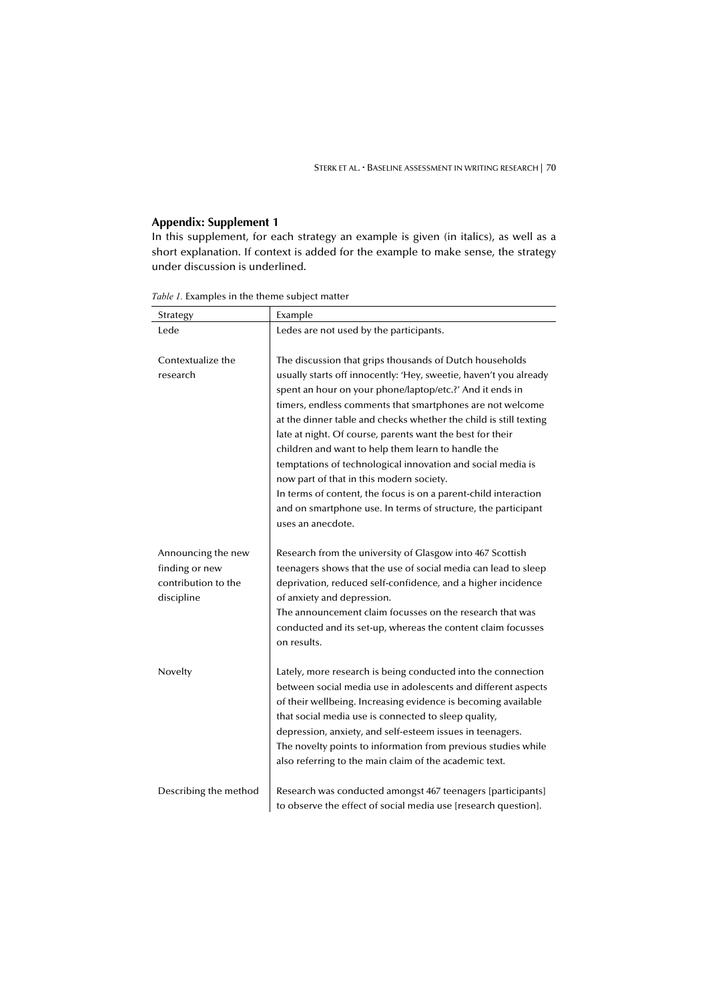# **Appendix: Supplement 1**

In this supplement, for each strategy an example is given (in italics), as well as a short explanation. If context is added for the example to make sense, the strategy under discussion is underlined.

| Strategy                                                                  | Example                                                                                                                                                                                                                                                                                                                                                                                                                                                                                                                                                                                                                                                                                                           |
|---------------------------------------------------------------------------|-------------------------------------------------------------------------------------------------------------------------------------------------------------------------------------------------------------------------------------------------------------------------------------------------------------------------------------------------------------------------------------------------------------------------------------------------------------------------------------------------------------------------------------------------------------------------------------------------------------------------------------------------------------------------------------------------------------------|
| Lede                                                                      | Ledes are not used by the participants.                                                                                                                                                                                                                                                                                                                                                                                                                                                                                                                                                                                                                                                                           |
| Contextualize the<br>research                                             | The discussion that grips thousands of Dutch households<br>usually starts off innocently: 'Hey, sweetie, haven't you already<br>spent an hour on your phone/laptop/etc.?' And it ends in<br>timers, endless comments that smartphones are not welcome<br>at the dinner table and checks whether the child is still texting<br>late at night. Of course, parents want the best for their<br>children and want to help them learn to handle the<br>temptations of technological innovation and social media is<br>now part of that in this modern society.<br>In terms of content, the focus is on a parent-child interaction<br>and on smartphone use. In terms of structure, the participant<br>uses an anecdote. |
| Announcing the new<br>finding or new<br>contribution to the<br>discipline | Research from the university of Glasgow into 467 Scottish<br>teenagers shows that the use of social media can lead to sleep<br>deprivation, reduced self-confidence, and a higher incidence<br>of anxiety and depression.<br>The announcement claim focusses on the research that was<br>conducted and its set-up, whereas the content claim focusses<br>on results.                                                                                                                                                                                                                                                                                                                                              |
| Novelty                                                                   | Lately, more research is being conducted into the connection<br>between social media use in adolescents and different aspects<br>of their wellbeing. Increasing evidence is becoming available<br>that social media use is connected to sleep quality,<br>depression, anxiety, and self-esteem issues in teenagers.<br>The novelty points to information from previous studies while<br>also referring to the main claim of the academic text.                                                                                                                                                                                                                                                                    |
| Describing the method                                                     | Research was conducted amongst 467 teenagers [participants]<br>to observe the effect of social media use [research question].                                                                                                                                                                                                                                                                                                                                                                                                                                                                                                                                                                                     |

*Table 1.* Examples in the theme subject matter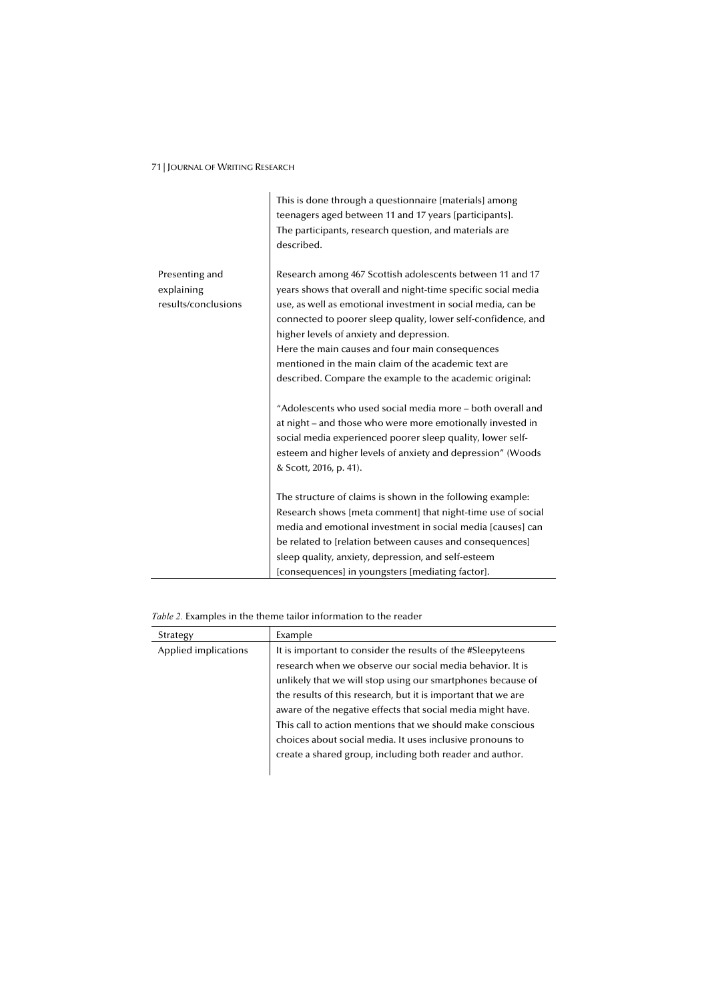|                                                     | This is done through a questionnaire [materials] among<br>teenagers aged between 11 and 17 years [participants].<br>The participants, research question, and materials are<br>described.                                                                                                                                                                                                                                                                                       |
|-----------------------------------------------------|--------------------------------------------------------------------------------------------------------------------------------------------------------------------------------------------------------------------------------------------------------------------------------------------------------------------------------------------------------------------------------------------------------------------------------------------------------------------------------|
| Presenting and<br>explaining<br>results/conclusions | Research among 467 Scottish adolescents between 11 and 17<br>years shows that overall and night-time specific social media<br>use, as well as emotional investment in social media, can be<br>connected to poorer sleep quality, lower self-confidence, and<br>higher levels of anxiety and depression.<br>Here the main causes and four main consequences<br>mentioned in the main claim of the academic text are<br>described. Compare the example to the academic original: |
|                                                     | "Adolescents who used social media more - both overall and<br>at night – and those who were more emotionally invested in<br>social media experienced poorer sleep quality, lower self-<br>esteem and higher levels of anxiety and depression" (Woods<br>& Scott, 2016, p. 41).                                                                                                                                                                                                 |
|                                                     | The structure of claims is shown in the following example:<br>Research shows [meta comment] that night-time use of social<br>media and emotional investment in social media [causes] can<br>be related to [relation between causes and consequences]<br>sleep quality, anxiety, depression, and self-esteem<br>[consequences] in youngsters [mediating factor].                                                                                                                |

*Table 2.* Examples in the theme tailor information to the reader

| Strategy             | Example                                                                                                                                                                                                                                                                                                                                                                                                                                                                                                        |
|----------------------|----------------------------------------------------------------------------------------------------------------------------------------------------------------------------------------------------------------------------------------------------------------------------------------------------------------------------------------------------------------------------------------------------------------------------------------------------------------------------------------------------------------|
| Applied implications | It is important to consider the results of the #Sleepyteens<br>research when we observe our social media behavior. It is<br>unlikely that we will stop using our smartphones because of<br>the results of this research, but it is important that we are<br>aware of the negative effects that social media might have.<br>This call to action mentions that we should make conscious<br>choices about social media. It uses inclusive pronouns to<br>create a shared group, including both reader and author. |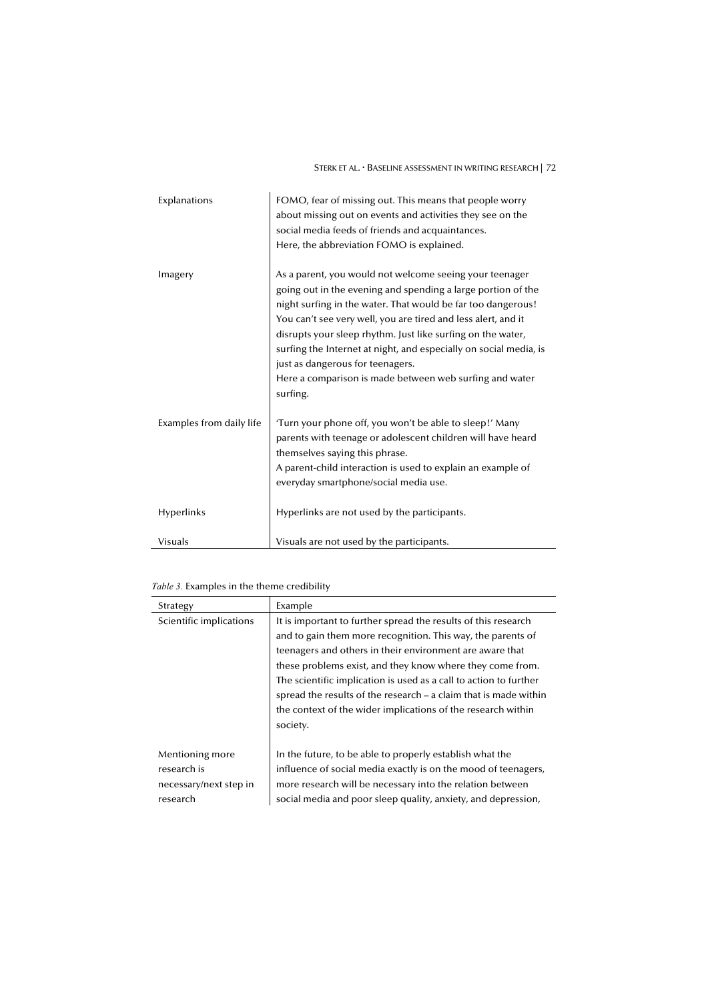STERK ET AL. **· BASELINE ASSESSMENT IN WRITING RESEARCH** | 72

| Explanations             | FOMO, fear of missing out. This means that people worry<br>about missing out on events and activities they see on the<br>social media feeds of friends and acquaintances.<br>Here, the abbreviation FOMO is explained.                                                                                                                                                                                                                                                                                  |
|--------------------------|---------------------------------------------------------------------------------------------------------------------------------------------------------------------------------------------------------------------------------------------------------------------------------------------------------------------------------------------------------------------------------------------------------------------------------------------------------------------------------------------------------|
| Imagery                  | As a parent, you would not welcome seeing your teenager<br>going out in the evening and spending a large portion of the<br>night surfing in the water. That would be far too dangerous!<br>You can't see very well, you are tired and less alert, and it<br>disrupts your sleep rhythm. Just like surfing on the water,<br>surfing the Internet at night, and especially on social media, is<br>just as dangerous for teenagers.<br>Here a comparison is made between web surfing and water<br>surfing. |
| Examples from daily life | Turn your phone off, you won't be able to sleep!' Many<br>parents with teenage or adolescent children will have heard<br>themselves saying this phrase.<br>A parent-child interaction is used to explain an example of<br>everyday smartphone/social media use.                                                                                                                                                                                                                                         |
| Hyperlinks               | Hyperlinks are not used by the participants.                                                                                                                                                                                                                                                                                                                                                                                                                                                            |
| Visuals                  | Visuals are not used by the participants.                                                                                                                                                                                                                                                                                                                                                                                                                                                               |

# *Table 3.* Examples in the theme credibility

| Strategy                                                             | Example                                                                                                                                                                                                                                                                                                                                                                                                                                                                       |
|----------------------------------------------------------------------|-------------------------------------------------------------------------------------------------------------------------------------------------------------------------------------------------------------------------------------------------------------------------------------------------------------------------------------------------------------------------------------------------------------------------------------------------------------------------------|
| Scientific implications                                              | It is important to further spread the results of this research<br>and to gain them more recognition. This way, the parents of<br>teenagers and others in their environment are aware that<br>these problems exist, and they know where they come from.<br>The scientific implication is used as a call to action to further<br>spread the results of the research $-$ a claim that is made within<br>the context of the wider implications of the research within<br>society. |
| Mentioning more<br>research is<br>necessary/next step in<br>research | In the future, to be able to properly establish what the<br>influence of social media exactly is on the mood of teenagers,<br>more research will be necessary into the relation between<br>social media and poor sleep quality, anxiety, and depression,                                                                                                                                                                                                                      |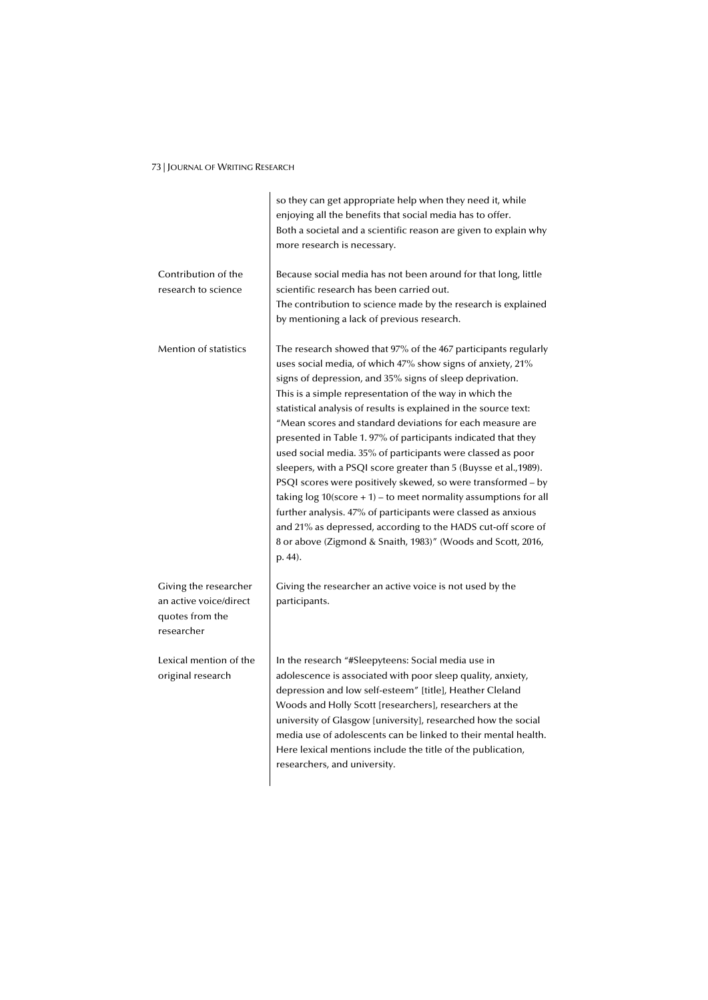|                                                                                  | so they can get appropriate help when they need it, while<br>enjoying all the benefits that social media has to offer.<br>Both a societal and a scientific reason are given to explain why<br>more research is necessary.                                                                                                                                                                                                                                                                                                                                                                                                                                                                                                                                                                                                                                                                                                                     |
|----------------------------------------------------------------------------------|-----------------------------------------------------------------------------------------------------------------------------------------------------------------------------------------------------------------------------------------------------------------------------------------------------------------------------------------------------------------------------------------------------------------------------------------------------------------------------------------------------------------------------------------------------------------------------------------------------------------------------------------------------------------------------------------------------------------------------------------------------------------------------------------------------------------------------------------------------------------------------------------------------------------------------------------------|
| Contribution of the<br>research to science                                       | Because social media has not been around for that long, little<br>scientific research has been carried out.<br>The contribution to science made by the research is explained<br>by mentioning a lack of previous research.                                                                                                                                                                                                                                                                                                                                                                                                                                                                                                                                                                                                                                                                                                                    |
| <b>Mention of statistics</b>                                                     | The research showed that 97% of the 467 participants regularly<br>uses social media, of which 47% show signs of anxiety, 21%<br>signs of depression, and 35% signs of sleep deprivation.<br>This is a simple representation of the way in which the<br>statistical analysis of results is explained in the source text:<br>"Mean scores and standard deviations for each measure are<br>presented in Table 1.97% of participants indicated that they<br>used social media. 35% of participants were classed as poor<br>sleepers, with a PSQI score greater than 5 (Buysse et al., 1989).<br>PSQI scores were positively skewed, so were transformed – by<br>taking $log 10$ (score $+1$ ) – to meet normality assumptions for all<br>further analysis. 47% of participants were classed as anxious<br>and 21% as depressed, according to the HADS cut-off score of<br>8 or above (Zigmond & Snaith, 1983)" (Woods and Scott, 2016,<br>p. 44). |
| Giving the researcher<br>an active voice/direct<br>quotes from the<br>researcher | Giving the researcher an active voice is not used by the<br>participants.                                                                                                                                                                                                                                                                                                                                                                                                                                                                                                                                                                                                                                                                                                                                                                                                                                                                     |
| Lexical mention of the<br>original research                                      | In the research "#Sleepyteens: Social media use in<br>adolescence is associated with poor sleep quality, anxiety,<br>depression and low self-esteem" [title], Heather Cleland<br>Woods and Holly Scott [researchers], researchers at the<br>university of Glasgow [university], researched how the social<br>media use of adolescents can be linked to their mental health.<br>Here lexical mentions include the title of the publication,<br>researchers, and university.                                                                                                                                                                                                                                                                                                                                                                                                                                                                    |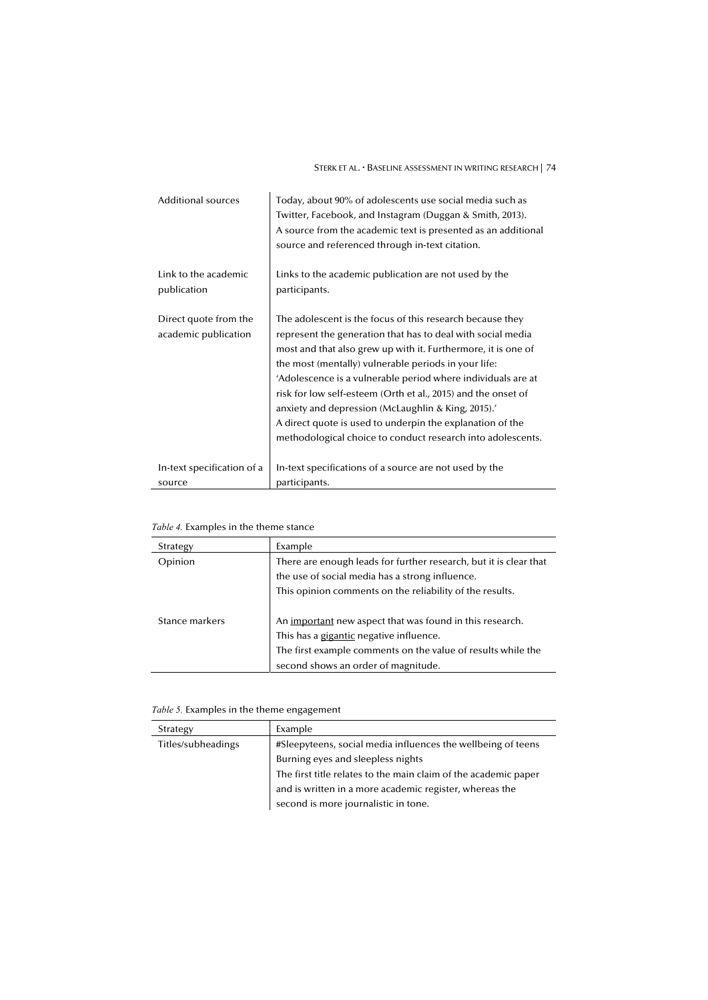STERK ET AL. • BASELINE ASSESSMENT IN WRITING RESEARCH | 74

| <b>Additional sources</b>                     | Today, about 90% of adolescents use social media such as<br>Twitter, Facebook, and Instagram (Duggan & Smith, 2013).<br>A source from the academic text is presented as an additional<br>source and referenced through in-text citation.                                                                                                                                                                                                                                                                                                                            |
|-----------------------------------------------|---------------------------------------------------------------------------------------------------------------------------------------------------------------------------------------------------------------------------------------------------------------------------------------------------------------------------------------------------------------------------------------------------------------------------------------------------------------------------------------------------------------------------------------------------------------------|
| Link to the academic                          | Links to the academic publication are not used by the                                                                                                                                                                                                                                                                                                                                                                                                                                                                                                               |
| publication                                   | participants.                                                                                                                                                                                                                                                                                                                                                                                                                                                                                                                                                       |
| Direct quote from the<br>academic publication | The adolescent is the focus of this research because they<br>represent the generation that has to deal with social media<br>most and that also grew up with it. Furthermore, it is one of<br>the most (mentally) vulnerable periods in your life:<br>'Adolescence is a vulnerable period where individuals are at<br>risk for low self-esteem (Orth et al., 2015) and the onset of<br>anxiety and depression (McLaughlin & King, 2015).<br>A direct quote is used to underpin the explanation of the<br>methodological choice to conduct research into adolescents. |
| In-text specification of a                    | In-text specifications of a source are not used by the                                                                                                                                                                                                                                                                                                                                                                                                                                                                                                              |
| source                                        | participants.                                                                                                                                                                                                                                                                                                                                                                                                                                                                                                                                                       |

# *Table 4.* Examples in the theme stance

| Strategy       | Example                                                           |
|----------------|-------------------------------------------------------------------|
| Opinion        | There are enough leads for further research, but it is clear that |
|                | the use of social media has a strong influence.                   |
|                | This opinion comments on the reliability of the results.          |
|                |                                                                   |
| Stance markers | An important new aspect that was found in this research.          |
|                | This has a gigantic negative influence.                           |
|                | The first example comments on the value of results while the      |
|                | second shows an order of magnitude.                               |

# *Table 5.* Examples in the theme engagement

| Strategy           | Example                                                         |
|--------------------|-----------------------------------------------------------------|
| Titles/subheadings | #Sleepyteens, social media influences the wellbeing of teens    |
|                    | Burning eyes and sleepless nights                               |
|                    | The first title relates to the main claim of the academic paper |
|                    | and is written in a more academic register, whereas the         |
|                    | second is more journalistic in tone.                            |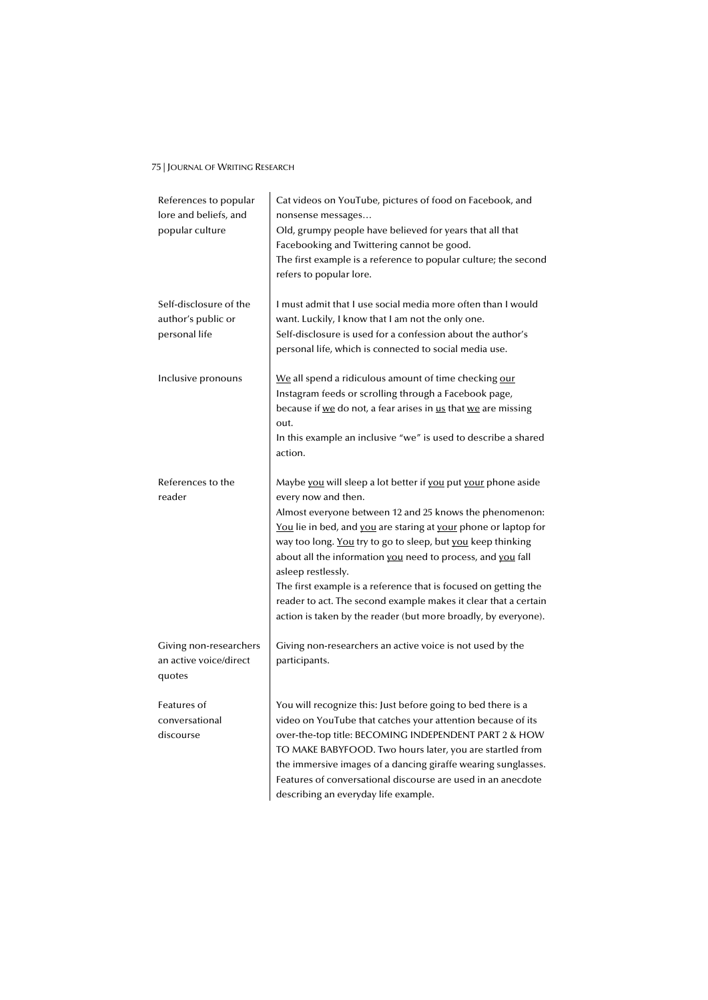| References to popular<br>lore and beliefs, and<br>popular culture | Cat videos on YouTube, pictures of food on Facebook, and<br>nonsense messages<br>Old, grumpy people have believed for years that all that<br>Facebooking and Twittering cannot be good.<br>The first example is a reference to popular culture; the second<br>refers to popular lore.                                                                                                                                                                                                                                                                                          |
|-------------------------------------------------------------------|--------------------------------------------------------------------------------------------------------------------------------------------------------------------------------------------------------------------------------------------------------------------------------------------------------------------------------------------------------------------------------------------------------------------------------------------------------------------------------------------------------------------------------------------------------------------------------|
| Self-disclosure of the<br>author's public or<br>personal life     | I must admit that I use social media more often than I would<br>want. Luckily, I know that I am not the only one.<br>Self-disclosure is used for a confession about the author's<br>personal life, which is connected to social media use.                                                                                                                                                                                                                                                                                                                                     |
| Inclusive pronouns                                                | We all spend a ridiculous amount of time checking our<br>Instagram feeds or scrolling through a Facebook page,<br>because if we do not, a fear arises in us that we are missing<br>out.<br>In this example an inclusive "we" is used to describe a shared<br>action.                                                                                                                                                                                                                                                                                                           |
| References to the<br>reader                                       | Maybe you will sleep a lot better if you put your phone aside<br>every now and then.<br>Almost everyone between 12 and 25 knows the phenomenon:<br>You lie in bed, and you are staring at your phone or laptop for<br>way too long. You try to go to sleep, but you keep thinking<br>about all the information you need to process, and you fall<br>asleep restlessly.<br>The first example is a reference that is focused on getting the<br>reader to act. The second example makes it clear that a certain<br>action is taken by the reader (but more broadly, by everyone). |
| Giving non-researchers<br>an active voice/direct<br>quotes        | Giving non-researchers an active voice is not used by the<br>participants.                                                                                                                                                                                                                                                                                                                                                                                                                                                                                                     |
| Features of<br>conversational<br>discourse                        | You will recognize this: Just before going to bed there is a<br>video on YouTube that catches your attention because of its<br>over-the-top title: BECOMING INDEPENDENT PART 2 & HOW<br>TO MAKE BABYFOOD. Two hours later, you are startled from<br>the immersive images of a dancing giraffe wearing sunglasses.<br>Features of conversational discourse are used in an anecdote<br>describing an everyday life example.                                                                                                                                                      |